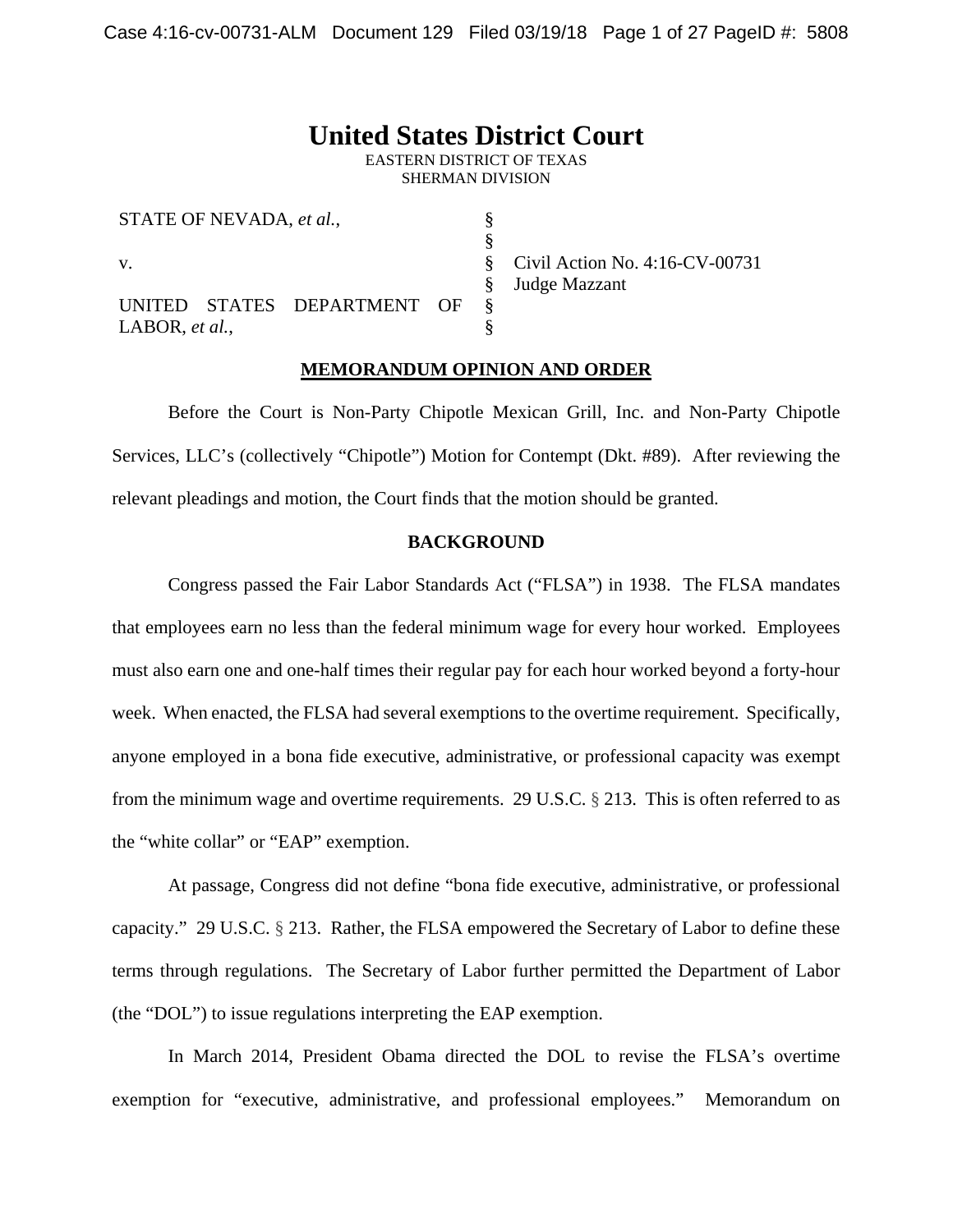# **United States District Court**

EASTERN DISTRICT OF TEXAS SHERMAN DIVISION

| STATE OF NEVADA, et al., |  |                             |  |  |
|--------------------------|--|-----------------------------|--|--|
|                          |  |                             |  |  |
| $V_{-}$                  |  |                             |  |  |
|                          |  |                             |  |  |
|                          |  | UNITED STATES DEPARTMENT OF |  |  |
| LABOR, et al.,           |  |                             |  |  |

Civil Action No. 4:16-CV-00731 Judge Mazzant

#### **MEMORANDUM OPINION AND ORDER**

Before the Court is Non-Party Chipotle Mexican Grill, Inc. and Non-Party Chipotle Services, LLC's (collectively "Chipotle") Motion for Contempt (Dkt. #89). After reviewing the relevant pleadings and motion, the Court finds that the motion should be granted.

### **BACKGROUND**

Congress passed the Fair Labor Standards Act ("FLSA") in 1938. The FLSA mandates that employees earn no less than the federal minimum wage for every hour worked. Employees must also earn one and one-half times their regular pay for each hour worked beyond a forty-hour week. When enacted, the FLSA had several exemptions to the overtime requirement. Specifically, anyone employed in a bona fide executive, administrative, or professional capacity was exempt from the minimum wage and overtime requirements. 29 U.S.C. § 213. This is often referred to as the "white collar" or "EAP" exemption.

At passage, Congress did not define "bona fide executive, administrative, or professional capacity." 29 U.S.C. § 213. Rather, the FLSA empowered the Secretary of Labor to define these terms through regulations. The Secretary of Labor further permitted the Department of Labor (the "DOL") to issue regulations interpreting the EAP exemption.

In March 2014, President Obama directed the DOL to revise the FLSA's overtime exemption for "executive, administrative, and professional employees." Memorandum on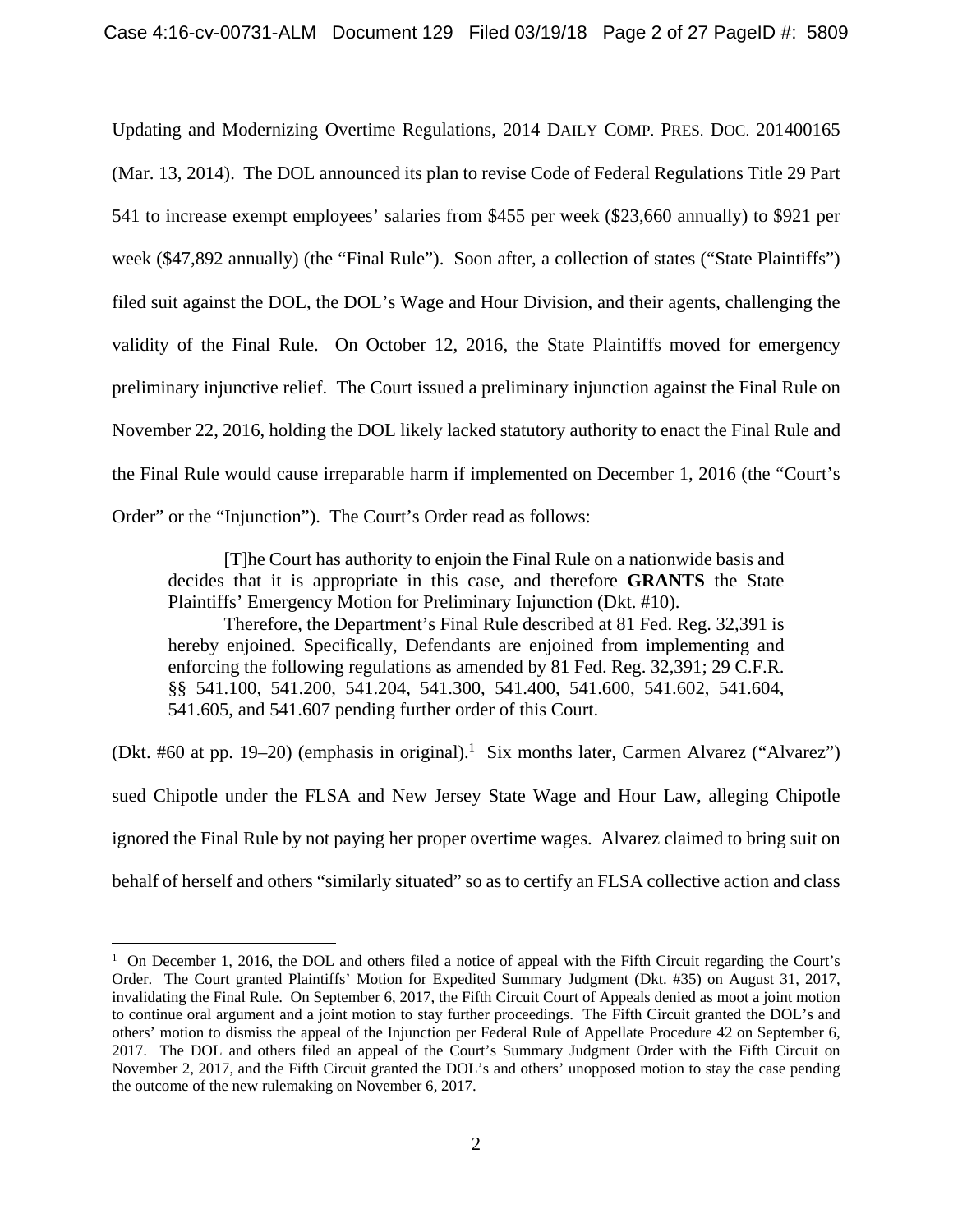Updating and Modernizing Overtime Regulations, 2014 DAILY COMP. PRES. DOC. 201400165 (Mar. 13, 2014). The DOL announced its plan to revise Code of Federal Regulations Title 29 Part 541 to increase exempt employees' salaries from \$455 per week (\$23,660 annually) to \$921 per week (\$47,892 annually) (the "Final Rule"). Soon after, a collection of states ("State Plaintiffs") filed suit against the DOL, the DOL's Wage and Hour Division, and their agents, challenging the validity of the Final Rule. On October 12, 2016, the State Plaintiffs moved for emergency preliminary injunctive relief. The Court issued a preliminary injunction against the Final Rule on November 22, 2016, holding the DOL likely lacked statutory authority to enact the Final Rule and the Final Rule would cause irreparable harm if implemented on December 1, 2016 (the "Court's Order" or the "Injunction"). The Court's Order read as follows:

[T]he Court has authority to enjoin the Final Rule on a nationwide basis and decides that it is appropriate in this case, and therefore **GRANTS** the State Plaintiffs' Emergency Motion for Preliminary Injunction (Dkt. #10).

Therefore, the Department's Final Rule described at 81 Fed. Reg. 32,391 is hereby enjoined. Specifically, Defendants are enjoined from implementing and enforcing the following regulations as amended by 81 Fed. Reg. 32,391; 29 C.F.R. §§ 541.100, 541.200, 541.204, 541.300, 541.400, 541.600, 541.602, 541.604, 541.605, and 541.607 pending further order of this Court.

(Dkt. #60 at pp. 19–20) (emphasis in original).<sup>1</sup> Six months later, Carmen Alvarez ("Alvarez") sued Chipotle under the FLSA and New Jersey State Wage and Hour Law, alleging Chipotle ignored the Final Rule by not paying her proper overtime wages. Alvarez claimed to bring suit on behalf of herself and others "similarly situated" so as to certify an FLSA collective action and class

 $\overline{a}$ 

<sup>&</sup>lt;sup>1</sup> On December 1, 2016, the DOL and others filed a notice of appeal with the Fifth Circuit regarding the Court's Order. The Court granted Plaintiffs' Motion for Expedited Summary Judgment (Dkt. #35) on August 31, 2017, invalidating the Final Rule. On September 6, 2017, the Fifth Circuit Court of Appeals denied as moot a joint motion to continue oral argument and a joint motion to stay further proceedings. The Fifth Circuit granted the DOL's and others' motion to dismiss the appeal of the Injunction per Federal Rule of Appellate Procedure 42 on September 6, 2017. The DOL and others filed an appeal of the Court's Summary Judgment Order with the Fifth Circuit on November 2, 2017, and the Fifth Circuit granted the DOL's and others' unopposed motion to stay the case pending the outcome of the new rulemaking on November 6, 2017.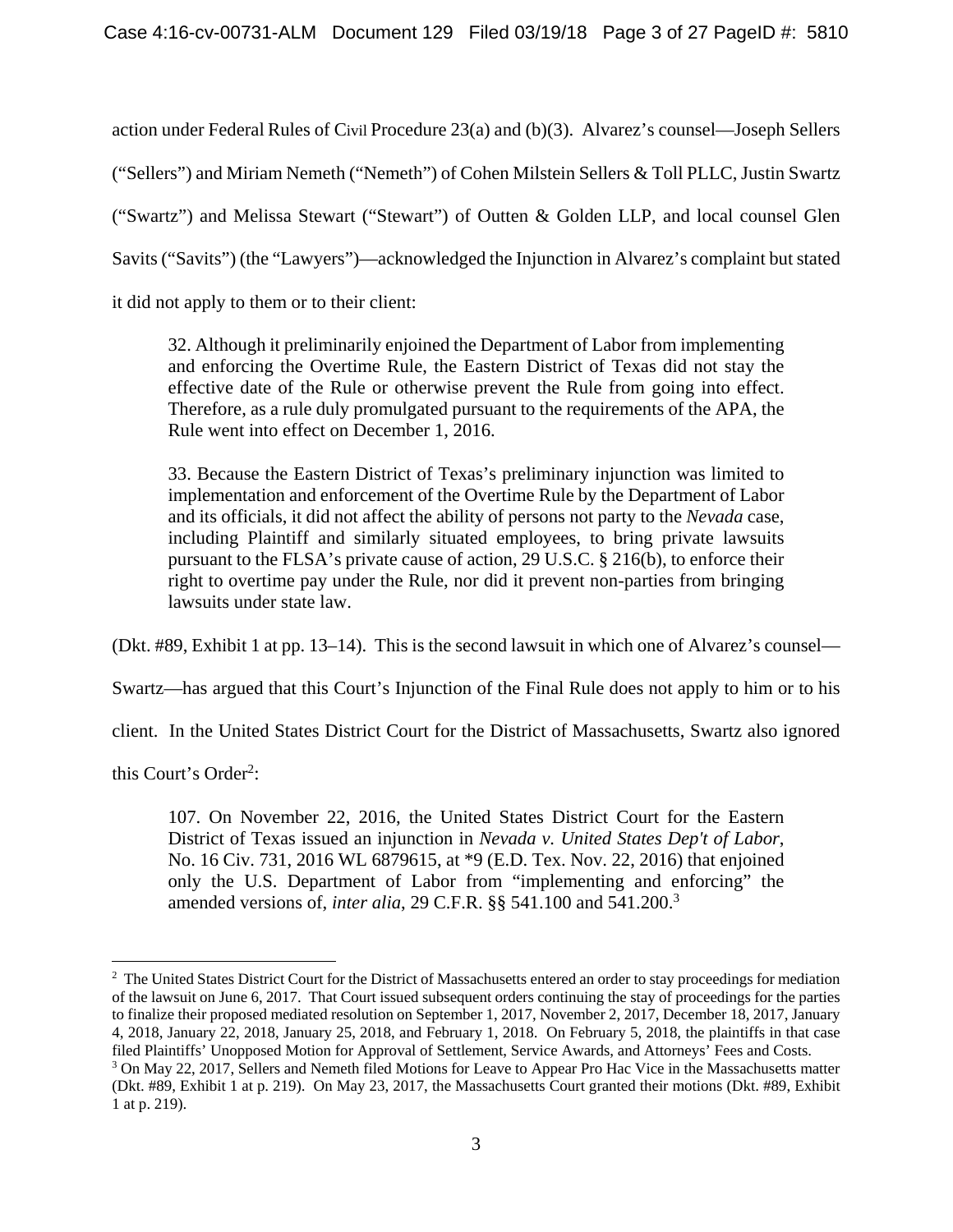action under Federal Rules of Civil Procedure 23(a) and (b)(3). Alvarez's counsel—Joseph Sellers ("Sellers") and Miriam Nemeth ("Nemeth") of Cohen Milstein Sellers & Toll PLLC, Justin Swartz ("Swartz") and Melissa Stewart ("Stewart") of Outten & Golden LLP, and local counsel Glen Savits ("Savits") (the "Lawyers")—acknowledged the Injunction in Alvarez's complaint but stated it did not apply to them or to their client:

32. Although it preliminarily enjoined the Department of Labor from implementing and enforcing the Overtime Rule, the Eastern District of Texas did not stay the effective date of the Rule or otherwise prevent the Rule from going into effect. Therefore, as a rule duly promulgated pursuant to the requirements of the APA, the Rule went into effect on December 1, 2016.

33. Because the Eastern District of Texas's preliminary injunction was limited to implementation and enforcement of the Overtime Rule by the Department of Labor and its officials, it did not affect the ability of persons not party to the *Nevada* case, including Plaintiff and similarly situated employees, to bring private lawsuits pursuant to the FLSA's private cause of action, 29 U.S.C. § 216(b), to enforce their right to overtime pay under the Rule, nor did it prevent non-parties from bringing lawsuits under state law.

(Dkt. #89, Exhibit 1 at pp. 13–14). This is the second lawsuit in which one of Alvarez's counsel—

Swartz—has argued that this Court's Injunction of the Final Rule does not apply to him or to his

client. In the United States District Court for the District of Massachusetts, Swartz also ignored

this Court's Order<sup>2</sup>:

 $\overline{a}$ 

107. On November 22, 2016, the United States District Court for the Eastern District of Texas issued an injunction in *Nevada v. United States Dep't of Labor*, No. 16 Civ. 731, 2016 WL 6879615, at \*9 (E.D. Tex. Nov. 22, 2016) that enjoined only the U.S. Department of Labor from "implementing and enforcing" the amended versions of, *inter alia*, 29 C.F.R. §§ 541.100 and 541.200.<sup>3</sup>

<sup>&</sup>lt;sup>2</sup> The United States District Court for the District of Massachusetts entered an order to stay proceedings for mediation of the lawsuit on June 6, 2017. That Court issued subsequent orders continuing the stay of proceedings for the parties to finalize their proposed mediated resolution on September 1, 2017, November 2, 2017, December 18, 2017, January 4, 2018, January 22, 2018, January 25, 2018, and February 1, 2018. On February 5, 2018, the plaintiffs in that case filed Plaintiffs' Unopposed Motion for Approval of Settlement, Service Awards, and Attorneys' Fees and Costs. 3

<sup>&</sup>lt;sup>3</sup> On May 22, 2017, Sellers and Nemeth filed Motions for Leave to Appear Pro Hac Vice in the Massachusetts matter (Dkt. #89, Exhibit 1 at p. 219). On May 23, 2017, the Massachusetts Court granted their motions (Dkt. #89, Exhibit 1 at p. 219).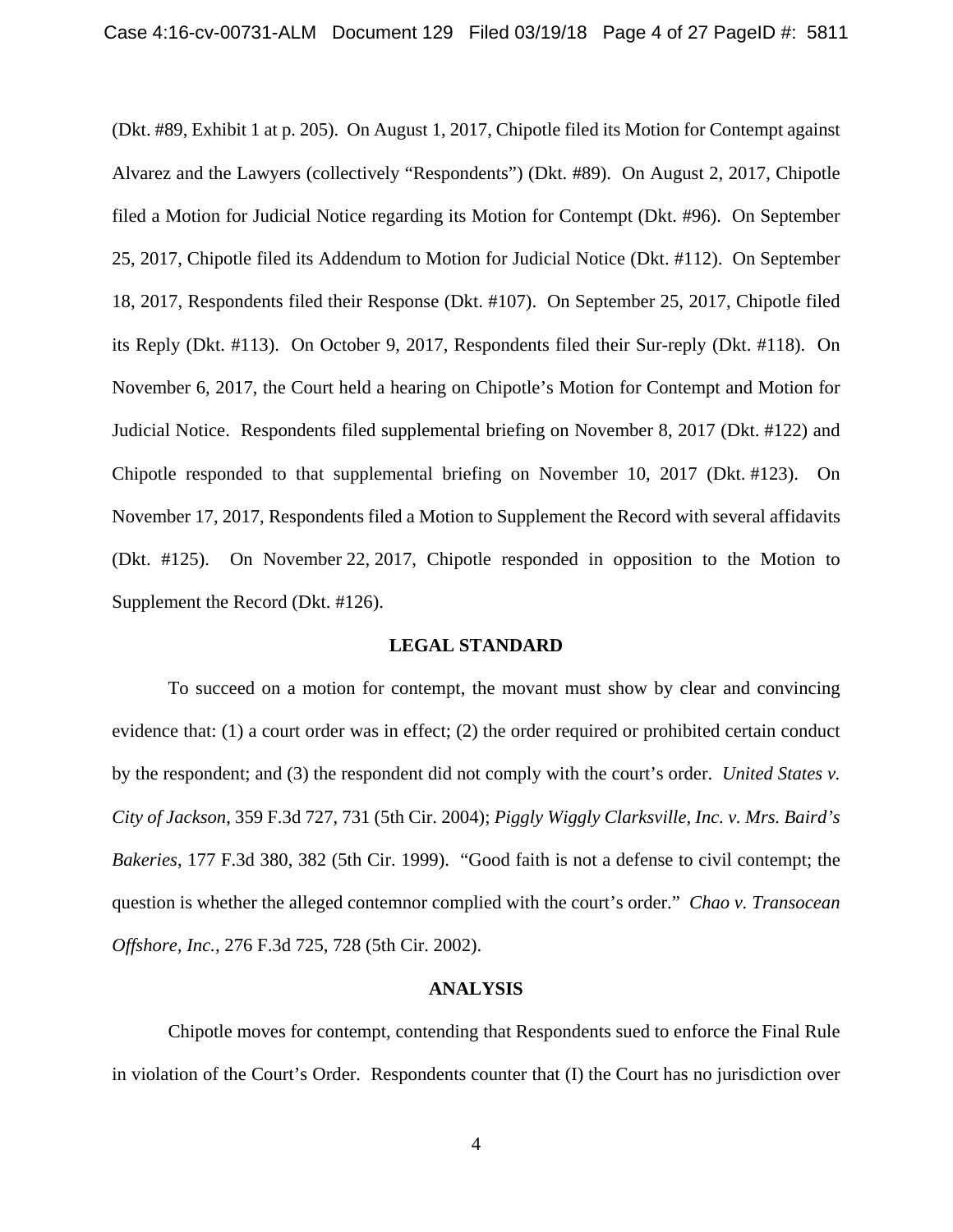(Dkt. #89, Exhibit 1 at p. 205). On August 1, 2017, Chipotle filed its Motion for Contempt against Alvarez and the Lawyers (collectively "Respondents") (Dkt. #89). On August 2, 2017, Chipotle filed a Motion for Judicial Notice regarding its Motion for Contempt (Dkt. #96). On September 25, 2017, Chipotle filed its Addendum to Motion for Judicial Notice (Dkt. #112). On September 18, 2017, Respondents filed their Response (Dkt. #107). On September 25, 2017, Chipotle filed its Reply (Dkt. #113). On October 9, 2017, Respondents filed their Sur-reply (Dkt. #118). On November 6, 2017, the Court held a hearing on Chipotle's Motion for Contempt and Motion for Judicial Notice. Respondents filed supplemental briefing on November 8, 2017 (Dkt. #122) and Chipotle responded to that supplemental briefing on November 10, 2017 (Dkt. #123). On November 17, 2017, Respondents filed a Motion to Supplement the Record with several affidavits (Dkt. #125). On November 22, 2017, Chipotle responded in opposition to the Motion to Supplement the Record (Dkt. #126).

#### **LEGAL STANDARD**

To succeed on a motion for contempt, the movant must show by clear and convincing evidence that: (1) a court order was in effect; (2) the order required or prohibited certain conduct by the respondent; and (3) the respondent did not comply with the court's order. *United States v. City of Jackson*, 359 F.3d 727, 731 (5th Cir. 2004); *Piggly Wiggly Clarksville, Inc. v. Mrs. Baird's Bakeries*, 177 F.3d 380, 382 (5th Cir. 1999). "Good faith is not a defense to civil contempt; the question is whether the alleged contemnor complied with the court's order." *Chao v. Transocean Offshore, Inc.*, 276 F.3d 725, 728 (5th Cir. 2002).

#### **ANALYSIS**

Chipotle moves for contempt, contending that Respondents sued to enforce the Final Rule in violation of the Court's Order. Respondents counter that (I) the Court has no jurisdiction over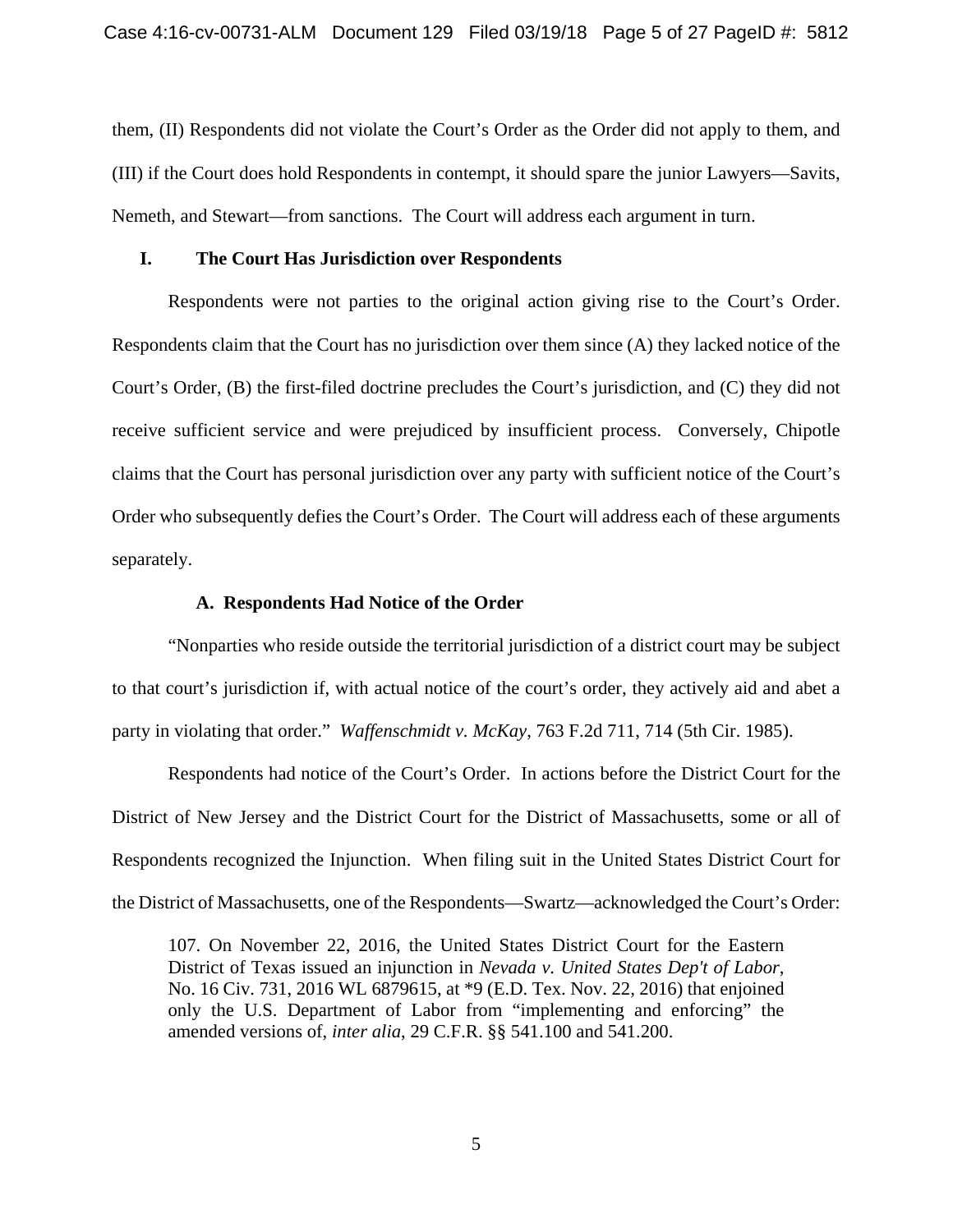them, (II) Respondents did not violate the Court's Order as the Order did not apply to them, and (III) if the Court does hold Respondents in contempt, it should spare the junior Lawyers—Savits, Nemeth, and Stewart—from sanctions. The Court will address each argument in turn.

### **I. The Court Has Jurisdiction over Respondents**

Respondents were not parties to the original action giving rise to the Court's Order. Respondents claim that the Court has no jurisdiction over them since (A) they lacked notice of the Court's Order, (B) the first-filed doctrine precludes the Court's jurisdiction, and (C) they did not receive sufficient service and were prejudiced by insufficient process. Conversely, Chipotle claims that the Court has personal jurisdiction over any party with sufficient notice of the Court's Order who subsequently defies the Court's Order. The Court will address each of these arguments separately.

### **A. Respondents Had Notice of the Order**

"Nonparties who reside outside the territorial jurisdiction of a district court may be subject to that court's jurisdiction if, with actual notice of the court's order, they actively aid and abet a party in violating that order." *Waffenschmidt v. McKay*, 763 F.2d 711, 714 (5th Cir. 1985).

Respondents had notice of the Court's Order. In actions before the District Court for the District of New Jersey and the District Court for the District of Massachusetts, some or all of Respondents recognized the Injunction. When filing suit in the United States District Court for the District of Massachusetts, one of the Respondents—Swartz—acknowledged the Court's Order:

107. On November 22, 2016, the United States District Court for the Eastern District of Texas issued an injunction in *Nevada v. United States Dep't of Labor*, No. 16 Civ. 731, 2016 WL 6879615, at \*9 (E.D. Tex. Nov. 22, 2016) that enjoined only the U.S. Department of Labor from "implementing and enforcing" the amended versions of, *inter alia*, 29 C.F.R. §§ 541.100 and 541.200.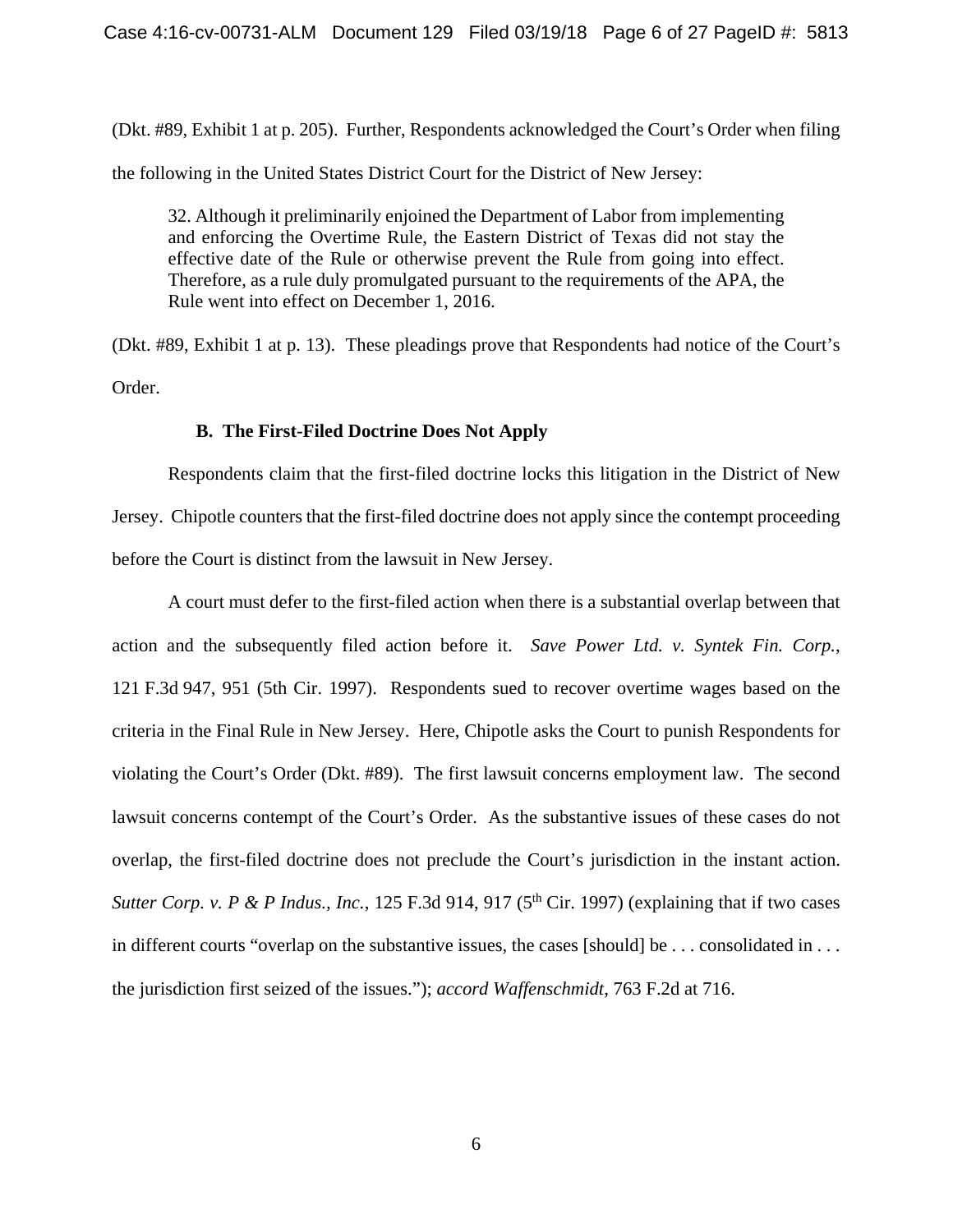(Dkt. #89, Exhibit 1 at p. 205). Further, Respondents acknowledged the Court's Order when filing the following in the United States District Court for the District of New Jersey:

32. Although it preliminarily enjoined the Department of Labor from implementing and enforcing the Overtime Rule, the Eastern District of Texas did not stay the effective date of the Rule or otherwise prevent the Rule from going into effect. Therefore, as a rule duly promulgated pursuant to the requirements of the APA, the Rule went into effect on December 1, 2016.

(Dkt. #89, Exhibit 1 at p. 13). These pleadings prove that Respondents had notice of the Court's Order.

### **B. The First-Filed Doctrine Does Not Apply**

 Respondents claim that the first-filed doctrine locks this litigation in the District of New Jersey. Chipotle counters that the first-filed doctrine does not apply since the contempt proceeding before the Court is distinct from the lawsuit in New Jersey.

A court must defer to the first-filed action when there is a substantial overlap between that action and the subsequently filed action before it. *Save Power Ltd. v. Syntek Fin. Corp.*, 121 F.3d 947, 951 (5th Cir. 1997). Respondents sued to recover overtime wages based on the criteria in the Final Rule in New Jersey. Here, Chipotle asks the Court to punish Respondents for violating the Court's Order (Dkt. #89). The first lawsuit concerns employment law. The second lawsuit concerns contempt of the Court's Order. As the substantive issues of these cases do not overlap, the first-filed doctrine does not preclude the Court's jurisdiction in the instant action. *Sutter Corp. v. P & P Indus., Inc., 125 F.3d 914, 917 (5<sup>th</sup> Cir. 1997) (explaining that if two cases* in different courts "overlap on the substantive issues, the cases [should] be . . . consolidated in . . . the jurisdiction first seized of the issues."); *accord Waffenschmidt*, 763 F.2d at 716.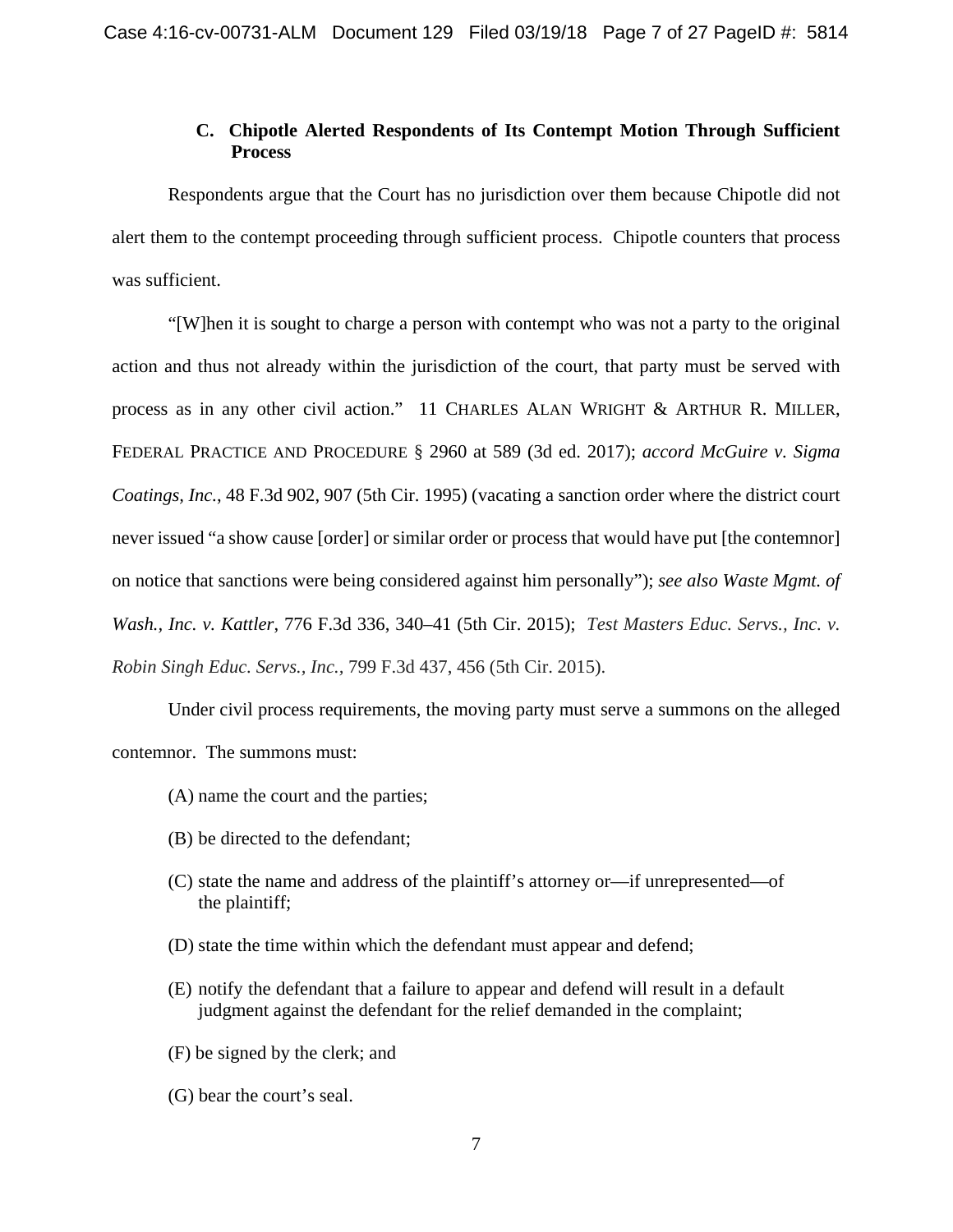# **C. Chipotle Alerted Respondents of Its Contempt Motion Through Sufficient Process**

 Respondents argue that the Court has no jurisdiction over them because Chipotle did not alert them to the contempt proceeding through sufficient process. Chipotle counters that process was sufficient.

"[W]hen it is sought to charge a person with contempt who was not a party to the original action and thus not already within the jurisdiction of the court, that party must be served with process as in any other civil action." 11 CHARLES ALAN WRIGHT & ARTHUR R. MILLER, FEDERAL PRACTICE AND PROCEDURE § 2960 at 589 (3d ed. 2017); *accord McGuire v. Sigma Coatings, Inc.*, 48 F.3d 902, 907 (5th Cir. 1995) (vacating a sanction order where the district court never issued "a show cause [order] or similar order or process that would have put [the contemnor] on notice that sanctions were being considered against him personally"); *see also Waste Mgmt. of Wash., Inc. v. Kattler*, 776 F.3d 336, 340–41 (5th Cir. 2015); *Test Masters Educ. Servs., Inc. v. Robin Singh Educ. Servs., Inc.,* 799 F.3d 437, 456 (5th Cir. 2015).

 Under civil process requirements, the moving party must serve a summons on the alleged contemnor. The summons must:

- (A) name the court and the parties;
- (B) be directed to the defendant;
- (C) state the name and address of the plaintiff's attorney or—if unrepresented—of the plaintiff;
- (D) state the time within which the defendant must appear and defend;
- (E) notify the defendant that a failure to appear and defend will result in a default judgment against the defendant for the relief demanded in the complaint;
- (F) be signed by the clerk; and
- (G) bear the court's seal.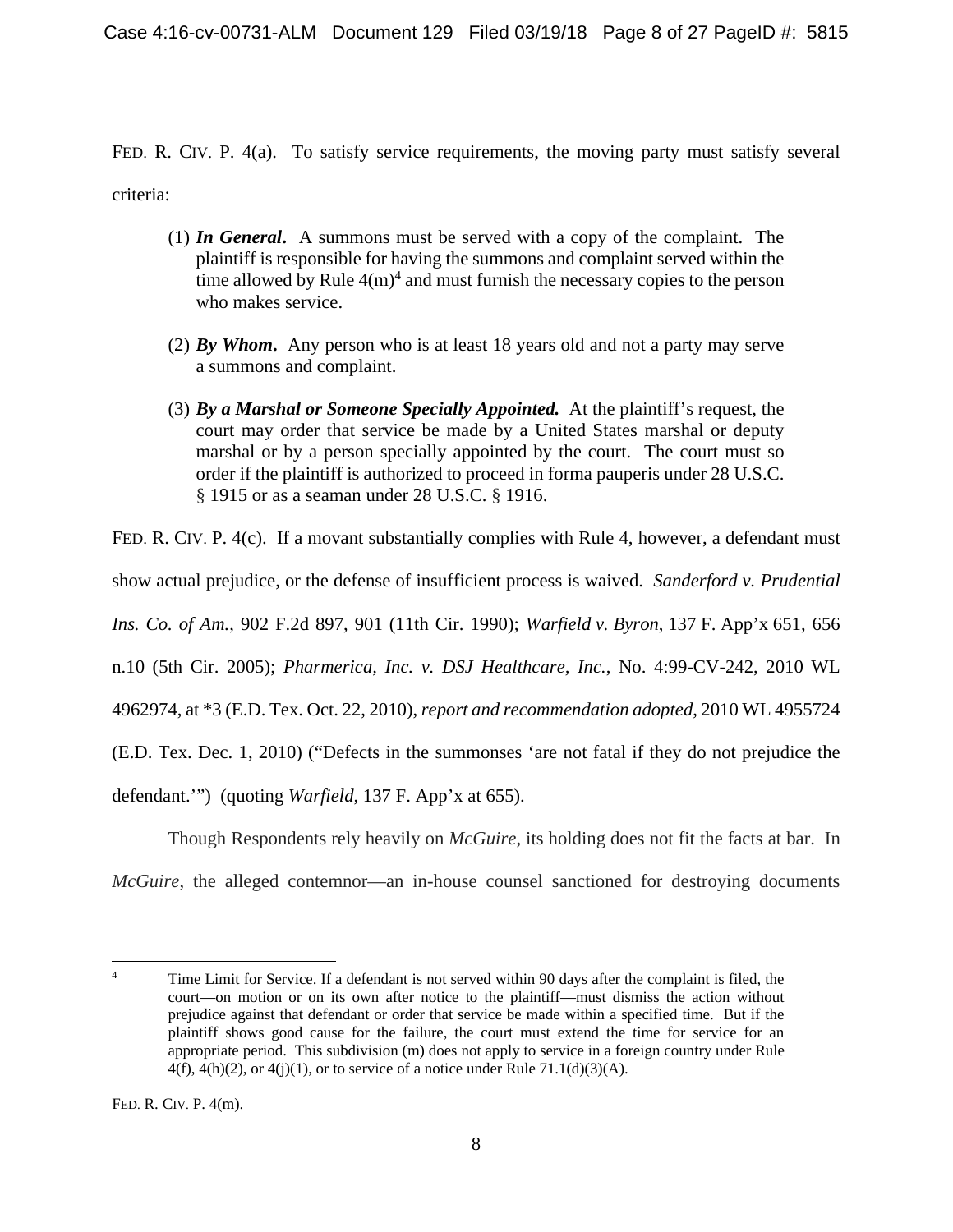FED. R. CIV. P. 4(a). To satisfy service requirements, the moving party must satisfy several criteria:

- (1) *In General***.** A summons must be served with a copy of the complaint. The plaintiff is responsible for having the summons and complaint served within the time allowed by Rule  $4(m)^4$  and must furnish the necessary copies to the person who makes service.
- (2) *By Whom***.** Any person who is at least 18 years old and not a party may serve a summons and complaint.
- (3) *By a Marshal or Someone Specially Appointed.* At the plaintiff's request, the court may order that service be made by a United States marshal or deputy marshal or by a person specially appointed by the court. The court must so order if the plaintiff is authorized to proceed in forma pauperis under 28 U.S.C. § 1915 or as a seaman under 28 U.S.C. § 1916.

FED. R. CIV. P. 4(c). If a movant substantially complies with Rule 4, however, a defendant must

show actual prejudice, or the defense of insufficient process is waived. *Sanderford v. Prudential* 

*Ins. Co. of Am.*, 902 F.2d 897, 901 (11th Cir. 1990); *Warfield v. Byron*, 137 F. App'x 651, 656

n.10 (5th Cir. 2005); *Pharmerica, Inc. v. DSJ Healthcare, Inc.*, No. 4:99-CV-242, 2010 WL

4962974, at \*3 (E.D. Tex. Oct. 22, 2010), *report and recommendation adopted*, 2010 WL 4955724

(E.D. Tex. Dec. 1, 2010) ("Defects in the summonses 'are not fatal if they do not prejudice the

defendant.'") (quoting *Warfield*, 137 F. App'x at 655).

Though Respondents rely heavily on *McGuire*, its holding does not fit the facts at bar. In

*McGuire*, the alleged contemnor—an in-house counsel sanctioned for destroying documents

 $\frac{1}{4}$  Time Limit for Service. If a defendant is not served within 90 days after the complaint is filed, the court—on motion or on its own after notice to the plaintiff—must dismiss the action without prejudice against that defendant or order that service be made within a specified time. But if the plaintiff shows good cause for the failure, the court must extend the time for service for an appropriate period. This subdivision (m) does not apply to service in a foreign country under Rule  $4(f)$ ,  $4(h)(2)$ , or  $4(i)(1)$ , or to service of a notice under Rule 71.1(d)(3)(A).

FED. R. CIV. P. 4(m).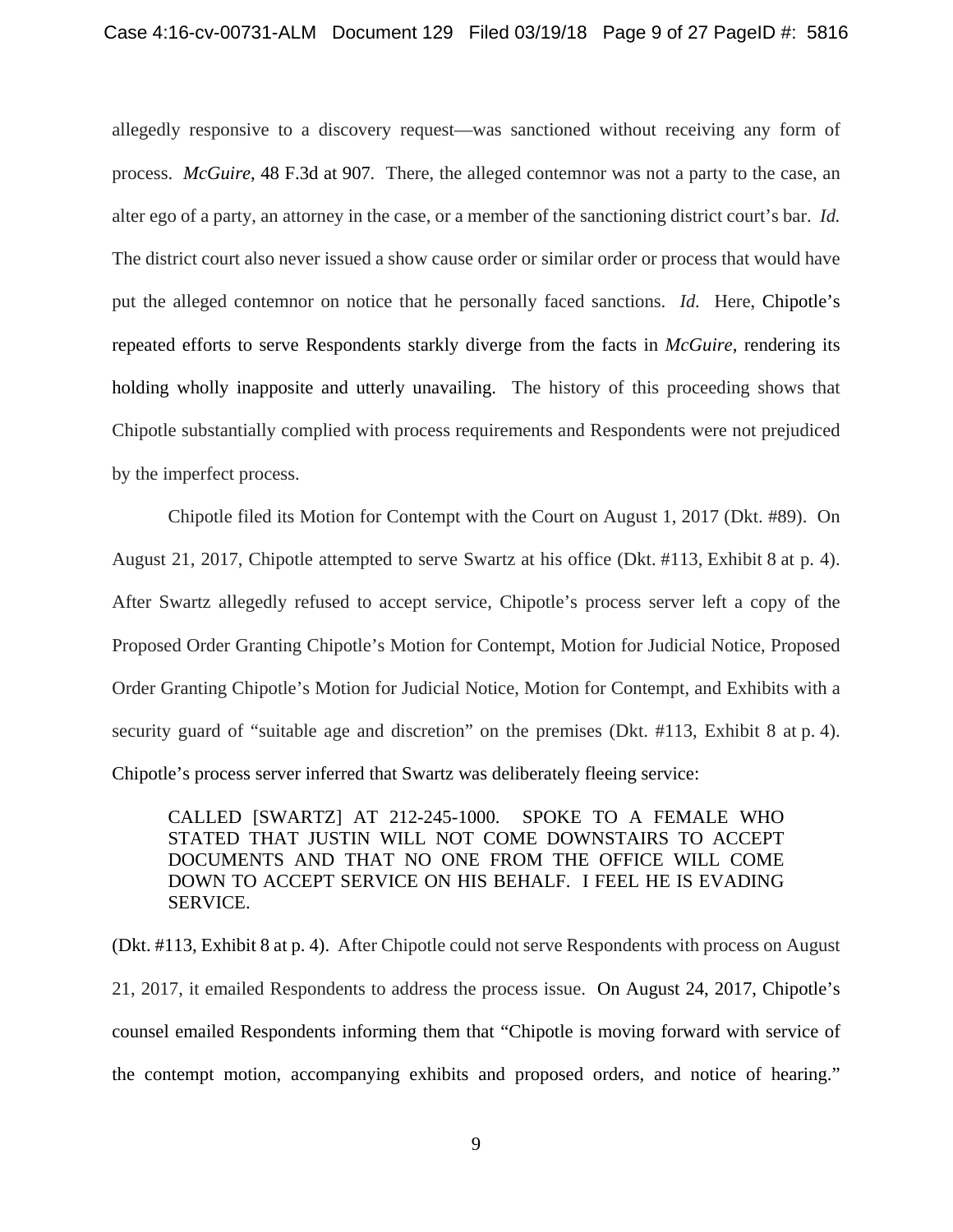allegedly responsive to a discovery request—was sanctioned without receiving any form of process. *McGuire*, 48 F.3d at 907*.* There, the alleged contemnor was not a party to the case, an alter ego of a party, an attorney in the case, or a member of the sanctioning district court's bar. *Id.*  The district court also never issued a show cause order or similar order or process that would have put the alleged contemnor on notice that he personally faced sanctions. *Id.* Here, Chipotle's repeated efforts to serve Respondents starkly diverge from the facts in *McGuire*, rendering its holding wholly inapposite and utterly unavailing. The history of this proceeding shows that Chipotle substantially complied with process requirements and Respondents were not prejudiced by the imperfect process.

Chipotle filed its Motion for Contempt with the Court on August 1, 2017 (Dkt. #89). On August 21, 2017, Chipotle attempted to serve Swartz at his office (Dkt. #113, Exhibit 8 at p. 4). After Swartz allegedly refused to accept service, Chipotle's process server left a copy of the Proposed Order Granting Chipotle's Motion for Contempt, Motion for Judicial Notice, Proposed Order Granting Chipotle's Motion for Judicial Notice, Motion for Contempt, and Exhibits with a security guard of "suitable age and discretion" on the premises (Dkt. #113, Exhibit 8 at p. 4). Chipotle's process server inferred that Swartz was deliberately fleeing service:

CALLED [SWARTZ] AT 212-245-1000. SPOKE TO A FEMALE WHO STATED THAT JUSTIN WILL NOT COME DOWNSTAIRS TO ACCEPT DOCUMENTS AND THAT NO ONE FROM THE OFFICE WILL COME DOWN TO ACCEPT SERVICE ON HIS BEHALF. I FEEL HE IS EVADING SERVICE.

(Dkt. #113, Exhibit 8 at p. 4). After Chipotle could not serve Respondents with process on August 21, 2017, it emailed Respondents to address the process issue. On August 24, 2017, Chipotle's counsel emailed Respondents informing them that "Chipotle is moving forward with service of the contempt motion, accompanying exhibits and proposed orders, and notice of hearing."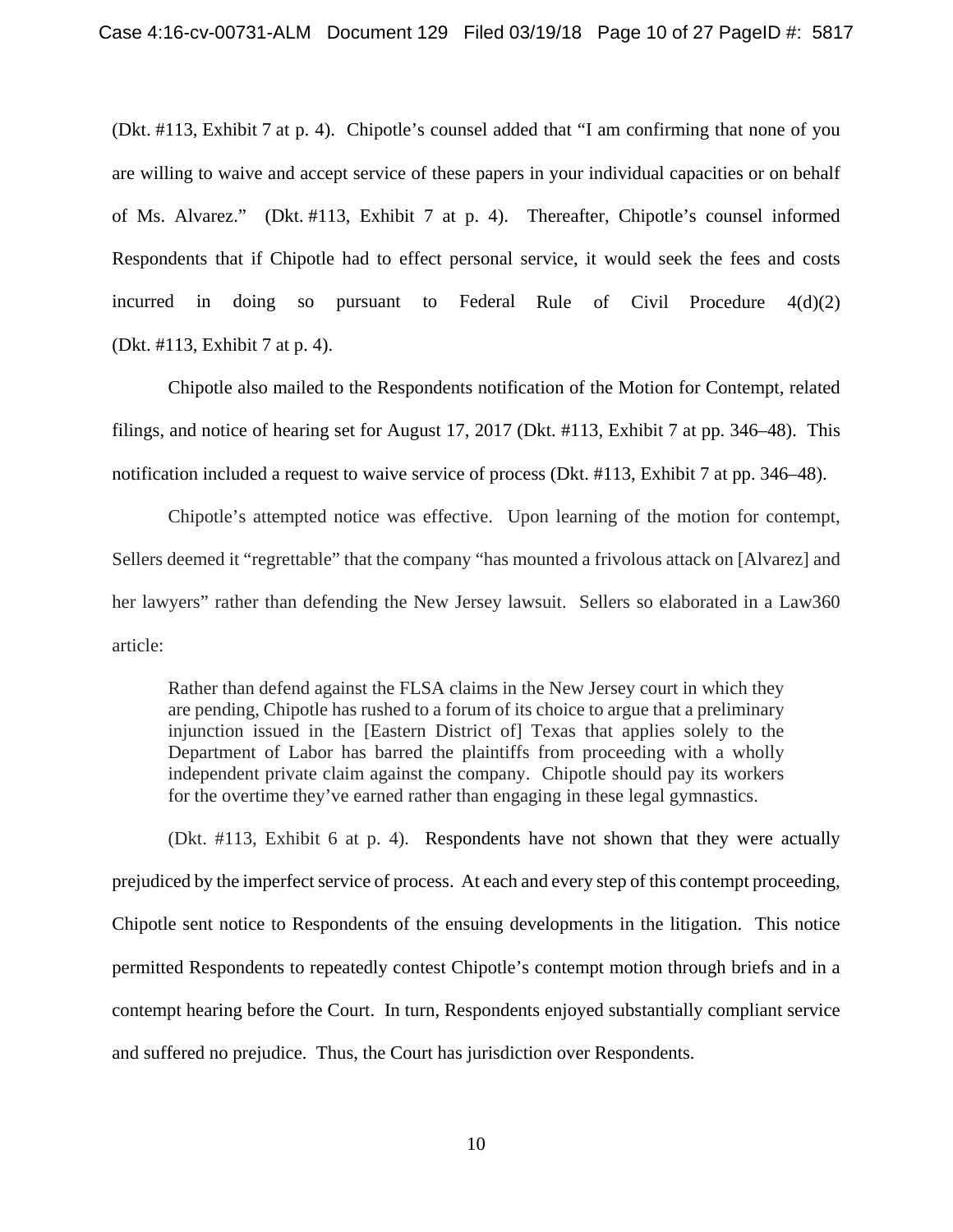(Dkt. #113, Exhibit 7 at p. 4). Chipotle's counsel added that "I am confirming that none of you are willing to waive and accept service of these papers in your individual capacities or on behalf of Ms. Alvarez." (Dkt. #113, Exhibit 7 at p. 4). Thereafter, Chipotle's counsel informed Respondents that if Chipotle had to effect personal service, it would seek the fees and costs incurred in doing so pursuant to Federal Rule of Civil Procedure  $4(d)(2)$ (Dkt. #113, Exhibit 7 at p. 4).

Chipotle also mailed to the Respondents notification of the Motion for Contempt, related filings, and notice of hearing set for August 17, 2017 (Dkt. #113, Exhibit 7 at pp. 346–48). This notification included a request to waive service of process (Dkt. #113, Exhibit 7 at pp. 346–48).

Chipotle's attempted notice was effective. Upon learning of the motion for contempt, Sellers deemed it "regrettable" that the company "has mounted a frivolous attack on [Alvarez] and her lawyers" rather than defending the New Jersey lawsuit. Sellers so elaborated in a Law360 article:

Rather than defend against the FLSA claims in the New Jersey court in which they are pending, Chipotle has rushed to a forum of its choice to argue that a preliminary injunction issued in the [Eastern District of] Texas that applies solely to the Department of Labor has barred the plaintiffs from proceeding with a wholly independent private claim against the company. Chipotle should pay its workers for the overtime they've earned rather than engaging in these legal gymnastics.

(Dkt. #113, Exhibit 6 at p. 4). Respondents have not shown that they were actually prejudiced by the imperfect service of process. At each and every step of this contempt proceeding, Chipotle sent notice to Respondents of the ensuing developments in the litigation. This notice permitted Respondents to repeatedly contest Chipotle's contempt motion through briefs and in a contempt hearing before the Court. In turn, Respondents enjoyed substantially compliant service and suffered no prejudice. Thus, the Court has jurisdiction over Respondents.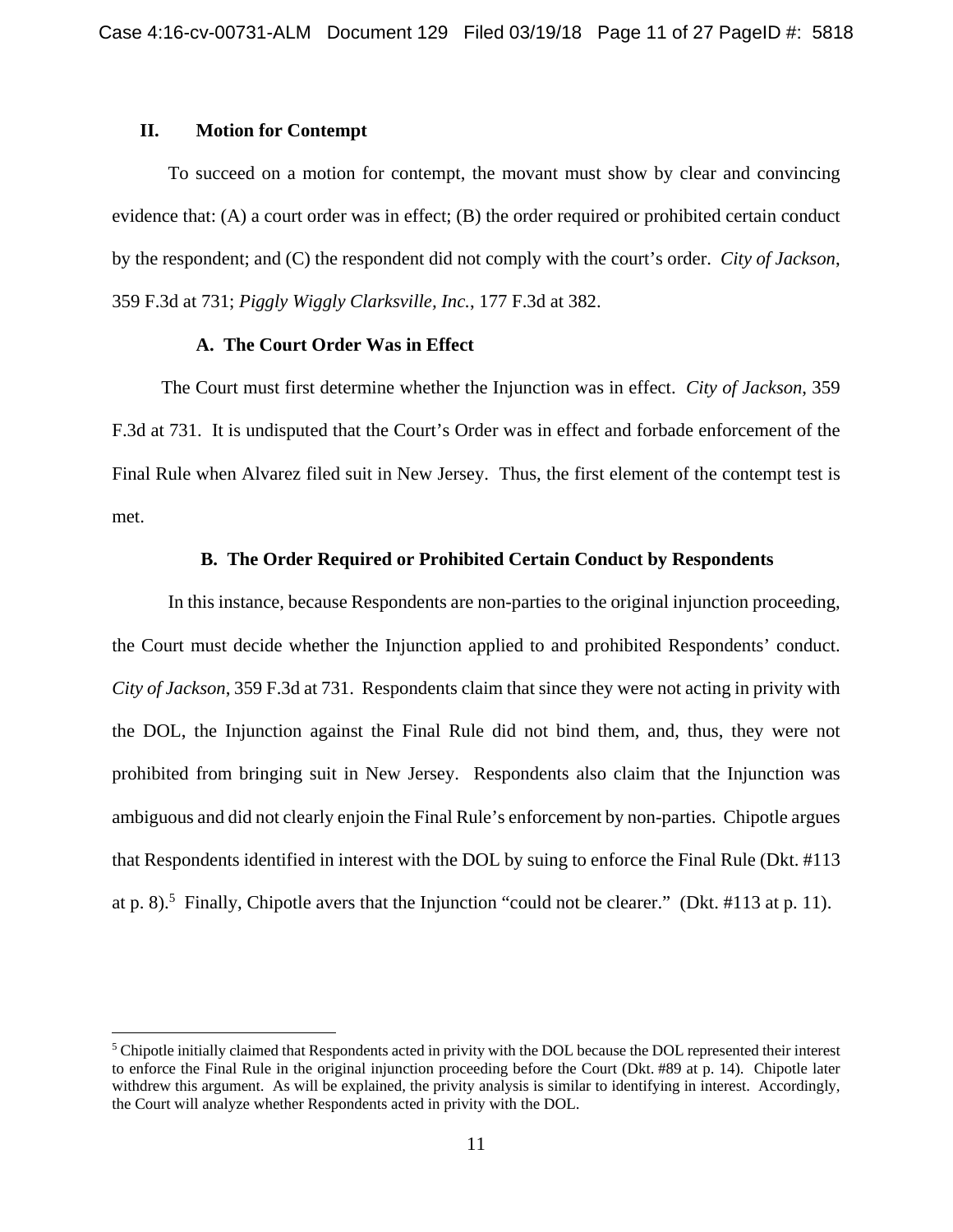### **II. Motion for Contempt**

1

To succeed on a motion for contempt, the movant must show by clear and convincing evidence that: (A) a court order was in effect; (B) the order required or prohibited certain conduct by the respondent; and (C) the respondent did not comply with the court's order. *City of Jackson*, 359 F.3d at 731; *Piggly Wiggly Clarksville, Inc.*, 177 F.3d at 382.

### **A. The Court Order Was in Effect**

The Court must first determine whether the Injunction was in effect. *City of Jackson*, 359 F.3d at 731. It is undisputed that the Court's Order was in effect and forbade enforcement of the Final Rule when Alvarez filed suit in New Jersey. Thus, the first element of the contempt test is met.

## **B. The Order Required or Prohibited Certain Conduct by Respondents**

In this instance, because Respondents are non-parties to the original injunction proceeding, the Court must decide whether the Injunction applied to and prohibited Respondents' conduct. *City of Jackson*, 359 F.3d at 731. Respondents claim that since they were not acting in privity with the DOL, the Injunction against the Final Rule did not bind them, and, thus, they were not prohibited from bringing suit in New Jersey. Respondents also claim that the Injunction was ambiguous and did not clearly enjoin the Final Rule's enforcement by non-parties. Chipotle argues that Respondents identified in interest with the DOL by suing to enforce the Final Rule (Dkt. #113 at p. 8).<sup>5</sup> Finally, Chipotle avers that the Injunction "could not be clearer." (Dkt. #113 at p. 11).

<sup>&</sup>lt;sup>5</sup> Chipotle initially claimed that Respondents acted in privity with the DOL because the DOL represented their interest to enforce the Final Rule in the original injunction proceeding before the Court (Dkt. #89 at p. 14). Chipotle later withdrew this argument. As will be explained, the privity analysis is similar to identifying in interest. Accordingly, the Court will analyze whether Respondents acted in privity with the DOL.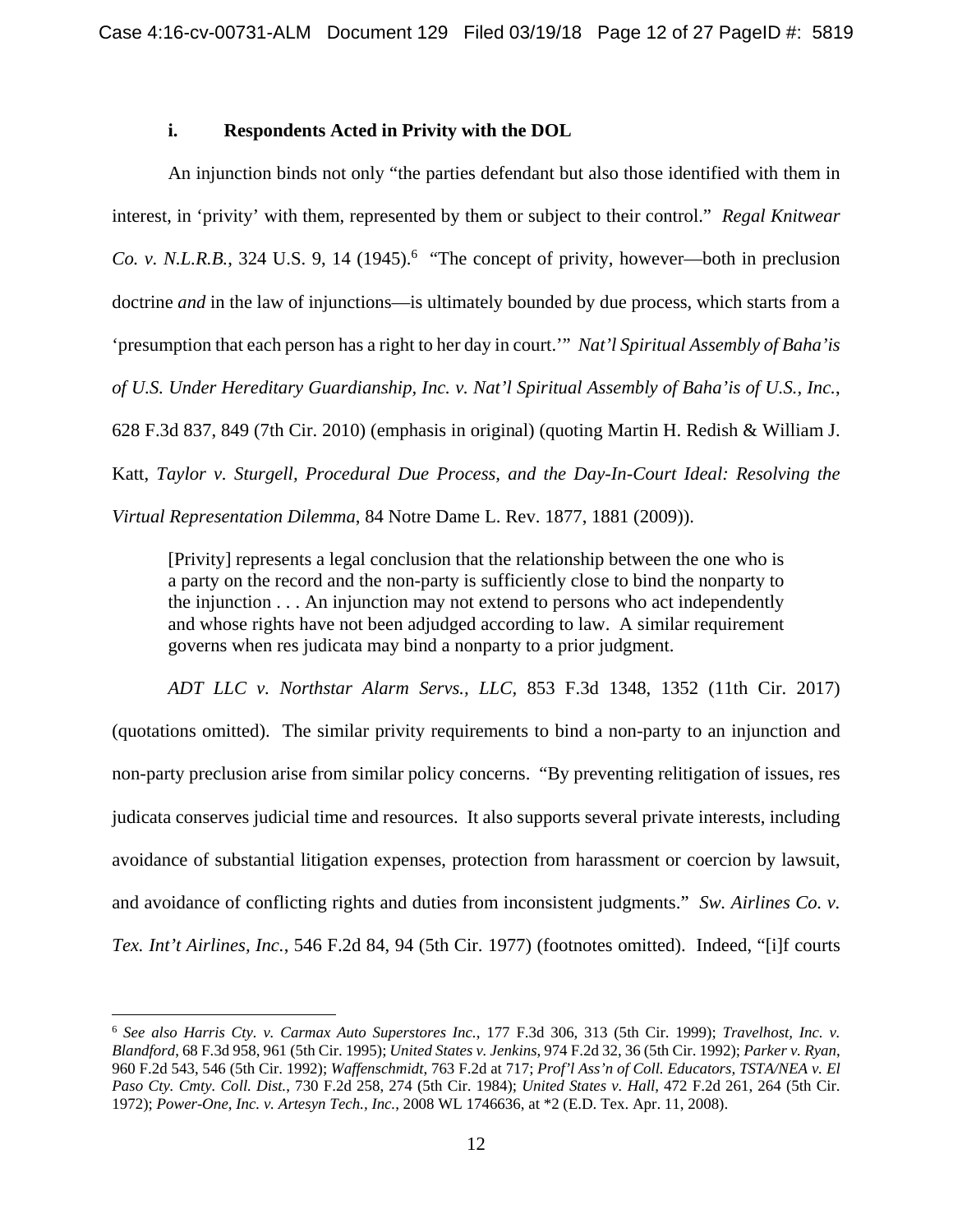### **i. Respondents Acted in Privity with the DOL**

An injunction binds not only "the parties defendant but also those identified with them in interest, in 'privity' with them, represented by them or subject to their control." *Regal Knitwear Co. v. N.L.R.B.*, 324 U.S. 9, 14 (1945).<sup>6</sup> "The concept of privity, however—both in preclusion doctrine *and* in the law of injunctions—is ultimately bounded by due process, which starts from a 'presumption that each person has a right to her day in court.'" *Nat'l Spiritual Assembly of Baha'is of U.S. Under Hereditary Guardianship, Inc. v. Nat'l Spiritual Assembly of Baha'is of U.S., Inc.*, 628 F.3d 837, 849 (7th Cir. 2010) (emphasis in original) (quoting Martin H. Redish & William J. Katt, *Taylor v. Sturgell, Procedural Due Process, and the Day-In-Court Ideal: Resolving the Virtual Representation Dilemma*, 84 Notre Dame L. Rev. 1877, 1881 (2009)).

[Privity] represents a legal conclusion that the relationship between the one who is a party on the record and the non-party is sufficiently close to bind the nonparty to the injunction . . . An injunction may not extend to persons who act independently and whose rights have not been adjudged according to law. A similar requirement governs when res judicata may bind a nonparty to a prior judgment.

*ADT LLC v. Northstar Alarm Servs., LLC,* 853 F.3d 1348, 1352 (11th Cir. 2017) (quotations omitted). The similar privity requirements to bind a non-party to an injunction and non-party preclusion arise from similar policy concerns. "By preventing relitigation of issues, res judicata conserves judicial time and resources. It also supports several private interests, including avoidance of substantial litigation expenses, protection from harassment or coercion by lawsuit, and avoidance of conflicting rights and duties from inconsistent judgments." *Sw. Airlines Co. v. Tex. Int't Airlines, Inc.*, 546 F.2d 84, 94 (5th Cir. 1977) (footnotes omitted). Indeed, "[i]f courts

 $\overline{a}$ 

<sup>6</sup> *See also Harris Cty. v. Carmax Auto Superstores Inc.*, 177 F.3d 306, 313 (5th Cir. 1999); *Travelhost, Inc. v. Blandford*, 68 F.3d 958, 961 (5th Cir. 1995); *United States v. Jenkins*, 974 F.2d 32, 36 (5th Cir. 1992); *Parker v. Ryan*, 960 F.2d 543, 546 (5th Cir. 1992); *Waffenschmidt*, 763 F.2d at 717; *Prof'l Ass'n of Coll. Educators, TSTA/NEA v. El Paso Cty. Cmty. Coll. Dist.*, 730 F.2d 258, 274 (5th Cir. 1984); *United States v. Hall*, 472 F.2d 261, 264 (5th Cir. 1972); *Power-One, Inc. v. Artesyn Tech., Inc.*, 2008 WL 1746636, at \*2 (E.D. Tex. Apr. 11, 2008).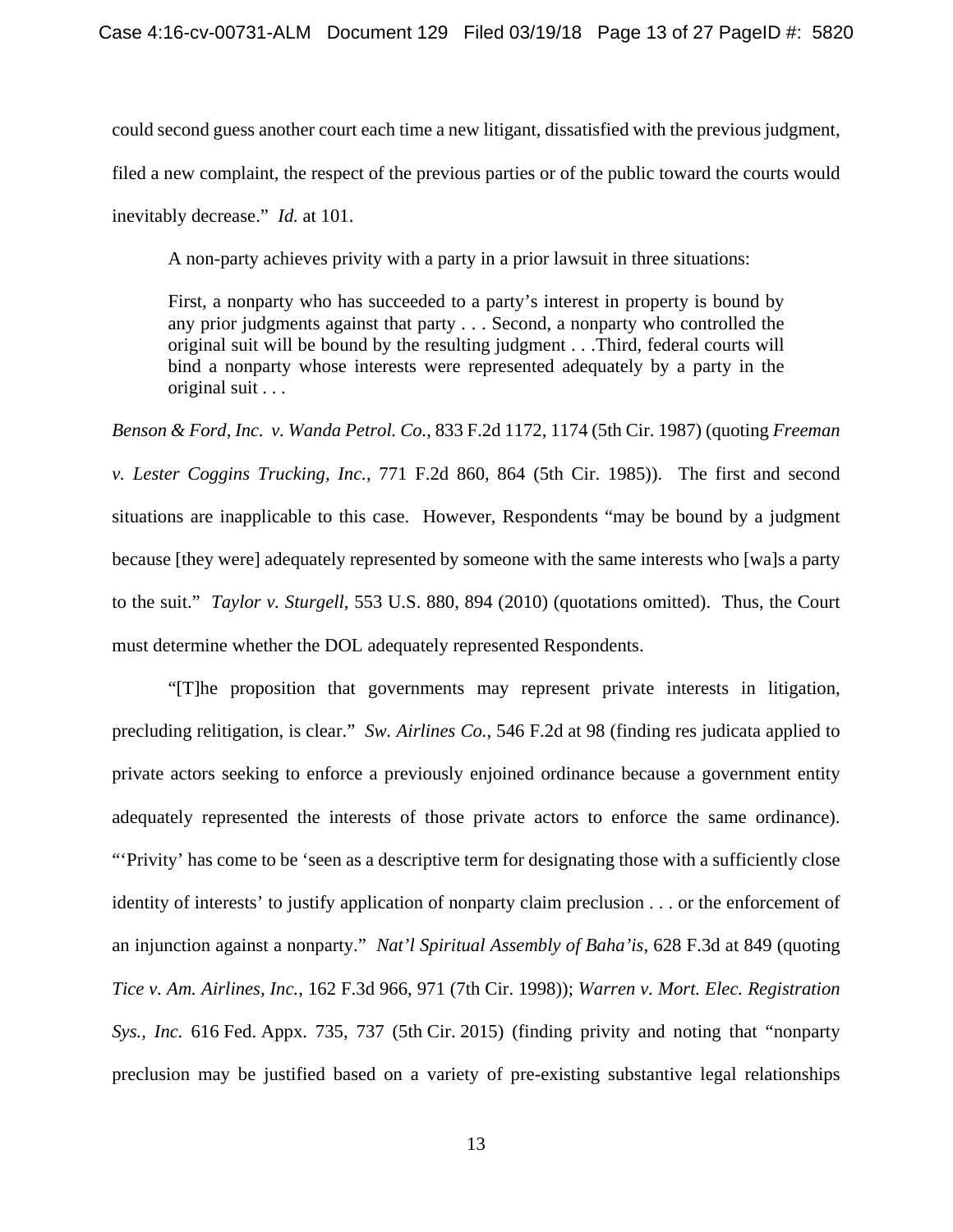could second guess another court each time a new litigant, dissatisfied with the previous judgment, filed a new complaint, the respect of the previous parties or of the public toward the courts would inevitably decrease." *Id.* at 101.

A non-party achieves privity with a party in a prior lawsuit in three situations:

First, a nonparty who has succeeded to a party's interest in property is bound by any prior judgments against that party . . . Second, a nonparty who controlled the original suit will be bound by the resulting judgment . . .Third, federal courts will bind a nonparty whose interests were represented adequately by a party in the original suit . . .

*Benson & Ford, Inc. v. Wanda Petrol. Co.*, 833 F.2d 1172, 1174 (5th Cir. 1987) (quoting *Freeman v. Lester Coggins Trucking, Inc.*, 771 F.2d 860, 864 (5th Cir. 1985)). The first and second situations are inapplicable to this case. However, Respondents "may be bound by a judgment because [they were] adequately represented by someone with the same interests who [wa]s a party to the suit." *Taylor v. Sturgell*, 553 U.S. 880, 894 (2010) (quotations omitted). Thus, the Court must determine whether the DOL adequately represented Respondents.

"[T]he proposition that governments may represent private interests in litigation, precluding relitigation, is clear." *Sw. Airlines Co.*, 546 F.2d at 98 (finding res judicata applied to private actors seeking to enforce a previously enjoined ordinance because a government entity adequately represented the interests of those private actors to enforce the same ordinance). "'Privity' has come to be 'seen as a descriptive term for designating those with a sufficiently close identity of interests' to justify application of nonparty claim preclusion . . . or the enforcement of an injunction against a nonparty." *Nat'l Spiritual Assembly of Baha'is*, 628 F.3d at 849 (quoting *Tice v. Am. Airlines, Inc.*, 162 F.3d 966, 971 (7th Cir. 1998)); *Warren v. Mort. Elec. Registration Sys., Inc.* 616 Fed. Appx. 735, 737 (5th Cir. 2015) (finding privity and noting that "nonparty preclusion may be justified based on a variety of pre-existing substantive legal relationships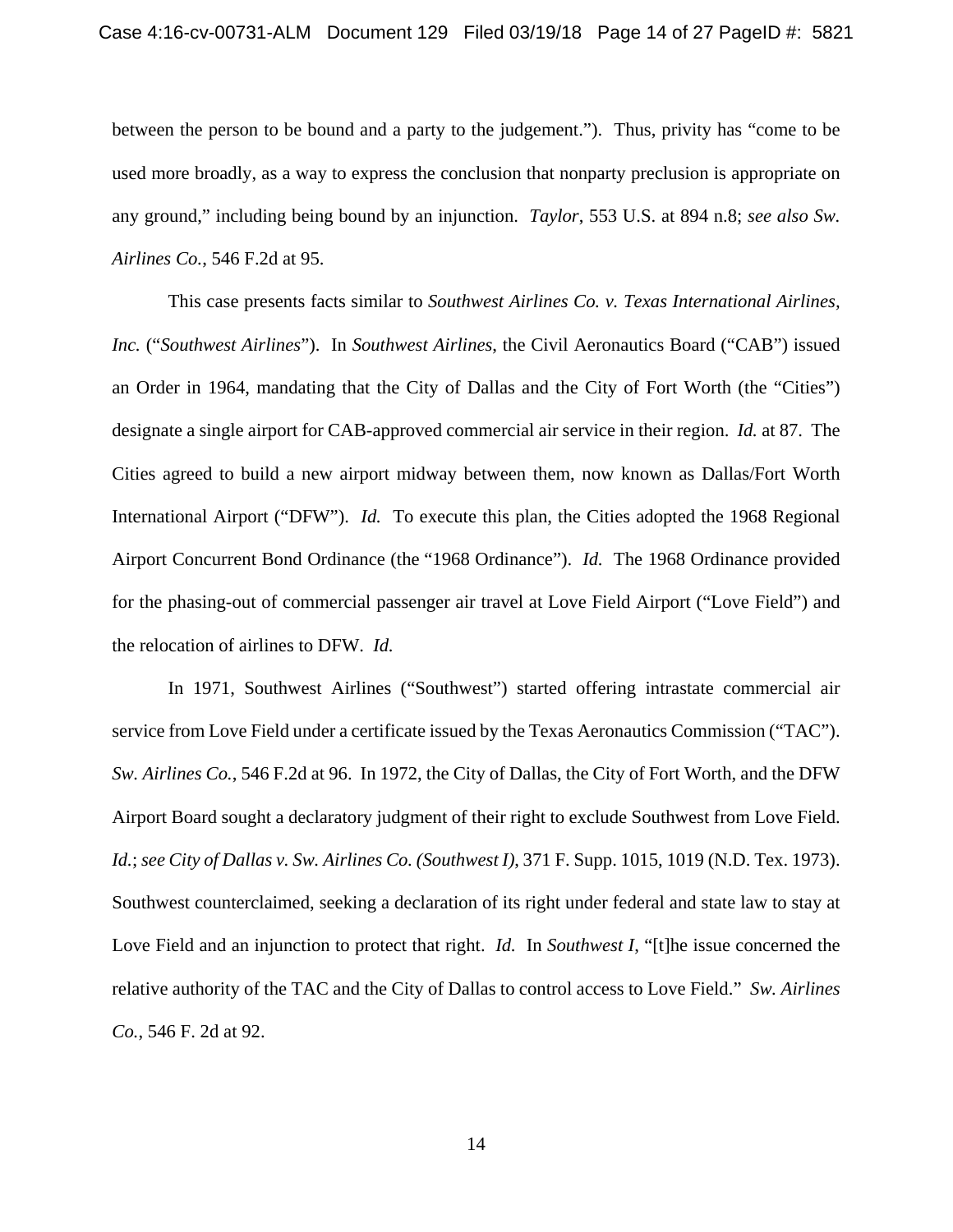between the person to be bound and a party to the judgement."). Thus, privity has "come to be used more broadly, as a way to express the conclusion that nonparty preclusion is appropriate on any ground," including being bound by an injunction. *Taylor*, 553 U.S. at 894 n.8; *see also Sw. Airlines Co.*, 546 F.2d at 95.

This case presents facts similar to *Southwest Airlines Co. v. Texas International Airlines, Inc.* ("*Southwest Airlines*").In *Southwest Airlines*, the Civil Aeronautics Board ("CAB") issued an Order in 1964, mandating that the City of Dallas and the City of Fort Worth (the "Cities") designate a single airport for CAB-approved commercial air service in their region. *Id.* at 87. The Cities agreed to build a new airport midway between them, now known as Dallas/Fort Worth International Airport ("DFW"). *Id.* To execute this plan, the Cities adopted the 1968 Regional Airport Concurrent Bond Ordinance (the "1968 Ordinance"). *Id.* The 1968 Ordinance provided for the phasing-out of commercial passenger air travel at Love Field Airport ("Love Field") and the relocation of airlines to DFW. *Id.* 

In 1971, Southwest Airlines ("Southwest") started offering intrastate commercial air service from Love Field under a certificate issued by the Texas Aeronautics Commission ("TAC"). *Sw. Airlines Co.*, 546 F.2d at 96. In 1972, the City of Dallas, the City of Fort Worth, and the DFW Airport Board sought a declaratory judgment of their right to exclude Southwest from Love Field. *Id.*; *see City of Dallas v. Sw. Airlines Co. (Southwest I)*, 371 F. Supp. 1015, 1019 (N.D. Tex. 1973). Southwest counterclaimed, seeking a declaration of its right under federal and state law to stay at Love Field and an injunction to protect that right. *Id.* In *Southwest I*, "[t]he issue concerned the relative authority of the TAC and the City of Dallas to control access to Love Field." *Sw. Airlines Co.*, 546 F. 2d at 92.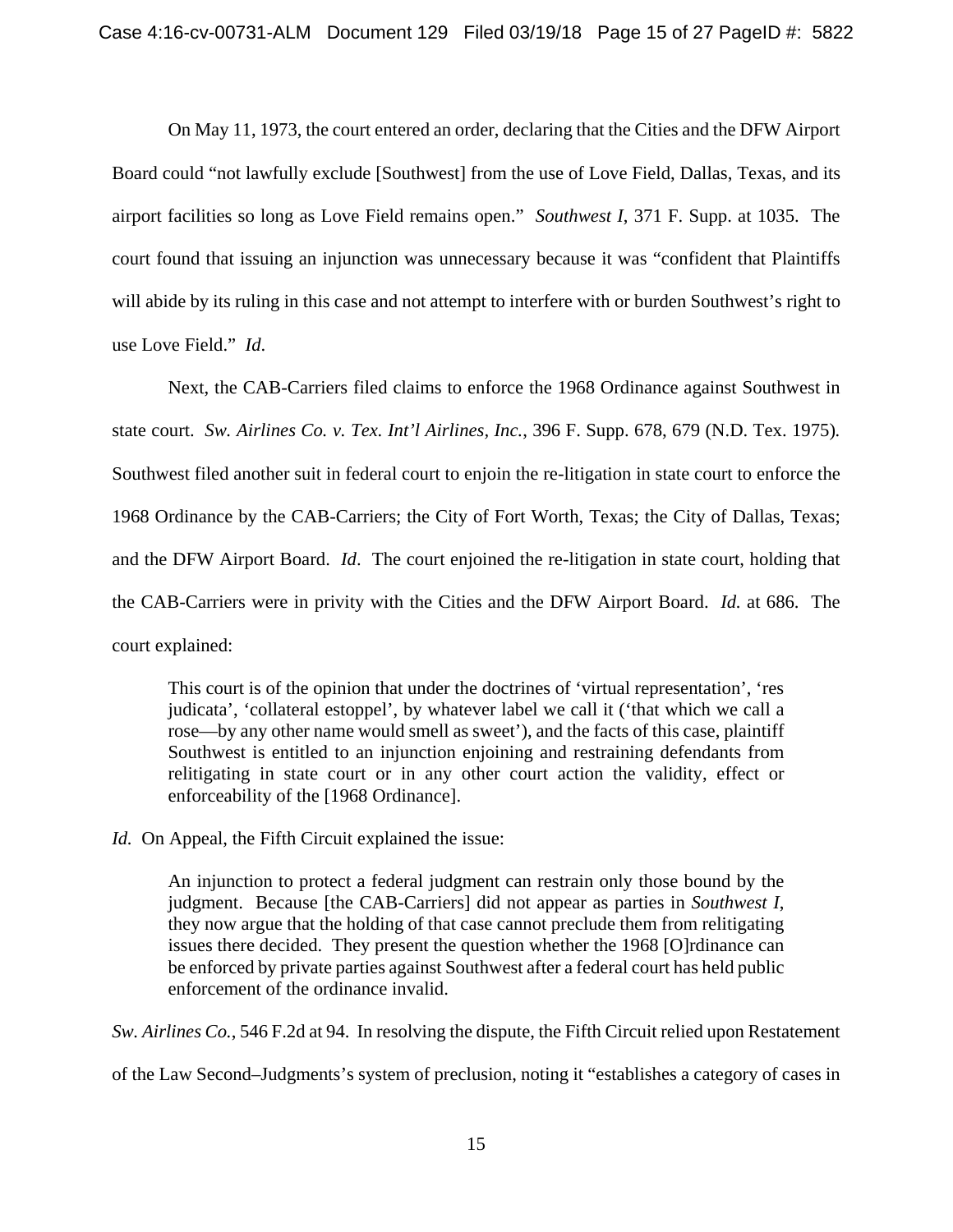On May 11, 1973, the court entered an order, declaring that the Cities and the DFW Airport Board could "not lawfully exclude [Southwest] from the use of Love Field, Dallas, Texas, and its airport facilities so long as Love Field remains open." *Southwest I*, 371 F. Supp. at 1035. The court found that issuing an injunction was unnecessary because it was "confident that Plaintiffs will abide by its ruling in this case and not attempt to interfere with or burden Southwest's right to use Love Field." *Id*.

Next, the CAB-Carriers filed claims to enforce the 1968 Ordinance against Southwest in state court. *Sw. Airlines Co. v. Tex. Int'l Airlines, Inc.*, 396 F. Supp. 678, 679 (N.D. Tex. 1975)*.*  Southwest filed another suit in federal court to enjoin the re-litigation in state court to enforce the 1968 Ordinance by the CAB-Carriers; the City of Fort Worth, Texas; the City of Dallas, Texas; and the DFW Airport Board. *Id*. The court enjoined the re-litigation in state court, holding that the CAB-Carriers were in privity with the Cities and the DFW Airport Board. *Id.* at 686. The court explained:

This court is of the opinion that under the doctrines of 'virtual representation', 'res judicata', 'collateral estoppel', by whatever label we call it ('that which we call a rose—by any other name would smell as sweet'), and the facts of this case, plaintiff Southwest is entitled to an injunction enjoining and restraining defendants from relitigating in state court or in any other court action the validity, effect or enforceability of the [1968 Ordinance].

*Id.* On Appeal, the Fifth Circuit explained the issue:

An injunction to protect a federal judgment can restrain only those bound by the judgment. Because [the CAB-Carriers] did not appear as parties in *Southwest I*, they now argue that the holding of that case cannot preclude them from relitigating issues there decided. They present the question whether the 1968 [O]rdinance can be enforced by private parties against Southwest after a federal court has held public enforcement of the ordinance invalid.

*Sw. Airlines Co.*, 546 F.2d at 94. In resolving the dispute, the Fifth Circuit relied upon Restatement

of the Law Second–Judgments's system of preclusion, noting it "establishes a category of cases in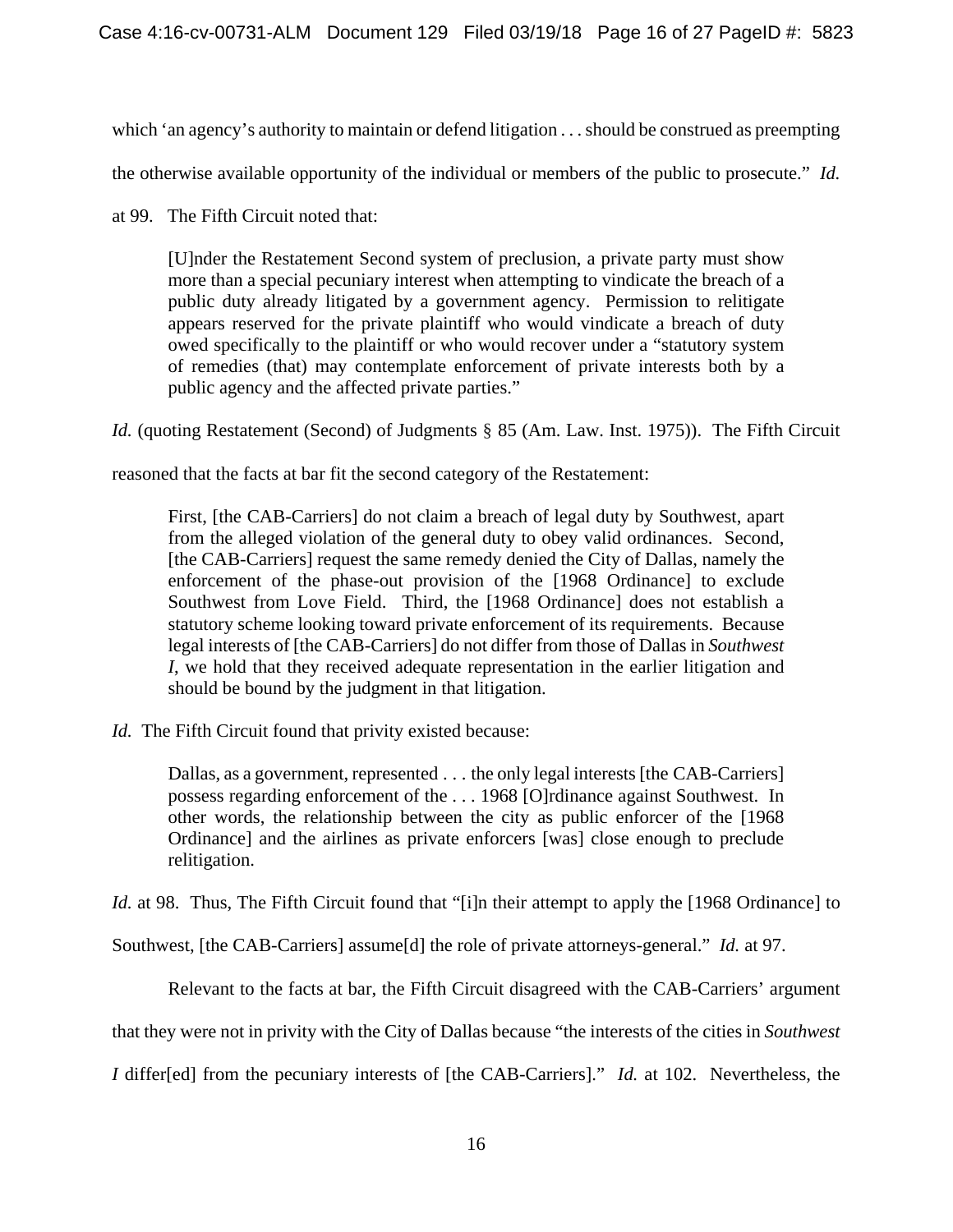which 'an agency's authority to maintain or defend litigation . . . should be construed as preempting

the otherwise available opportunity of the individual or members of the public to prosecute." *Id.* 

at 99. The Fifth Circuit noted that:

[U]nder the Restatement Second system of preclusion, a private party must show more than a special pecuniary interest when attempting to vindicate the breach of a public duty already litigated by a government agency. Permission to relitigate appears reserved for the private plaintiff who would vindicate a breach of duty owed specifically to the plaintiff or who would recover under a "statutory system of remedies (that) may contemplate enforcement of private interests both by a public agency and the affected private parties."

*Id.* (quoting Restatement (Second) of Judgments § 85 (Am. Law. Inst. 1975)).The Fifth Circuit

reasoned that the facts at bar fit the second category of the Restatement:

First, [the CAB-Carriers] do not claim a breach of legal duty by Southwest, apart from the alleged violation of the general duty to obey valid ordinances. Second, [the CAB-Carriers] request the same remedy denied the City of Dallas, namely the enforcement of the phase-out provision of the [1968 Ordinance] to exclude Southwest from Love Field. Third, the [1968 Ordinance] does not establish a statutory scheme looking toward private enforcement of its requirements. Because legal interests of [the CAB-Carriers] do not differ from those of Dallas in *Southwest I*, we hold that they received adequate representation in the earlier litigation and should be bound by the judgment in that litigation.

*Id.* The Fifth Circuit found that privity existed because:

Dallas, as a government, represented . . . the only legal interests [the CAB-Carriers] possess regarding enforcement of the . . . 1968 [O]rdinance against Southwest. In other words, the relationship between the city as public enforcer of the [1968 Ordinance] and the airlines as private enforcers [was] close enough to preclude relitigation.

*Id.* at 98. Thus, The Fifth Circuit found that "[i]n their attempt to apply the [1968 Ordinance] to

Southwest, [the CAB-Carriers] assume[d] the role of private attorneys-general." *Id.* at 97.

Relevant to the facts at bar, the Fifth Circuit disagreed with the CAB-Carriers' argument

that they were not in privity with the City of Dallas because "the interests of the cities in *Southwest* 

*I* differ[ed] from the pecuniary interests of [the CAB-Carriers]." *Id.* at 102. Nevertheless, the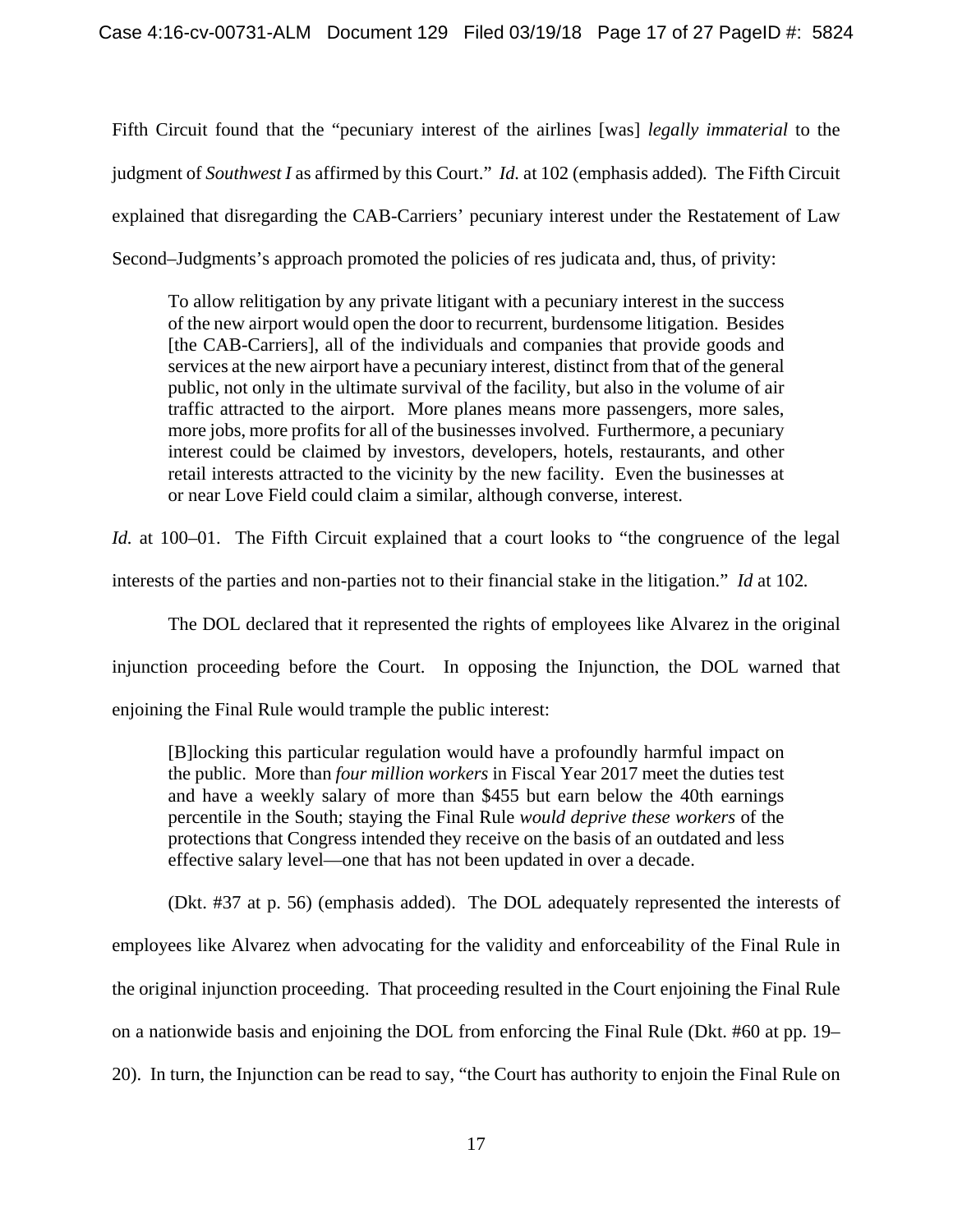Fifth Circuit found that the "pecuniary interest of the airlines [was] *legally immaterial* to the judgment of *Southwest I* as affirmed by this Court." *Id.* at 102 (emphasis added)*.* The Fifth Circuit explained that disregarding the CAB-Carriers' pecuniary interest under the Restatement of Law Second–Judgments's approach promoted the policies of res judicata and, thus, of privity:

To allow relitigation by any private litigant with a pecuniary interest in the success of the new airport would open the door to recurrent, burdensome litigation. Besides [the CAB-Carriers], all of the individuals and companies that provide goods and services at the new airport have a pecuniary interest, distinct from that of the general public, not only in the ultimate survival of the facility, but also in the volume of air traffic attracted to the airport. More planes means more passengers, more sales, more jobs, more profits for all of the businesses involved. Furthermore, a pecuniary interest could be claimed by investors, developers, hotels, restaurants, and other retail interests attracted to the vicinity by the new facility. Even the businesses at or near Love Field could claim a similar, although converse, interest.

*Id.* at 100–01. The Fifth Circuit explained that a court looks to "the congruence of the legal

interests of the parties and non-parties not to their financial stake in the litigation." *Id* at 102*.*

The DOL declared that it represented the rights of employees like Alvarez in the original injunction proceeding before the Court. In opposing the Injunction, the DOL warned that enjoining the Final Rule would trample the public interest:

[B]locking this particular regulation would have a profoundly harmful impact on the public. More than *four million workers* in Fiscal Year 2017 meet the duties test and have a weekly salary of more than \$455 but earn below the 40th earnings percentile in the South; staying the Final Rule *would deprive these workers* of the protections that Congress intended they receive on the basis of an outdated and less effective salary level—one that has not been updated in over a decade.

(Dkt. #37 at p. 56) (emphasis added). The DOL adequately represented the interests of employees like Alvarez when advocating for the validity and enforceability of the Final Rule in the original injunction proceeding. That proceeding resulted in the Court enjoining the Final Rule on a nationwide basis and enjoining the DOL from enforcing the Final Rule (Dkt. #60 at pp. 19– 20). In turn, the Injunction can be read to say, "the Court has authority to enjoin the Final Rule on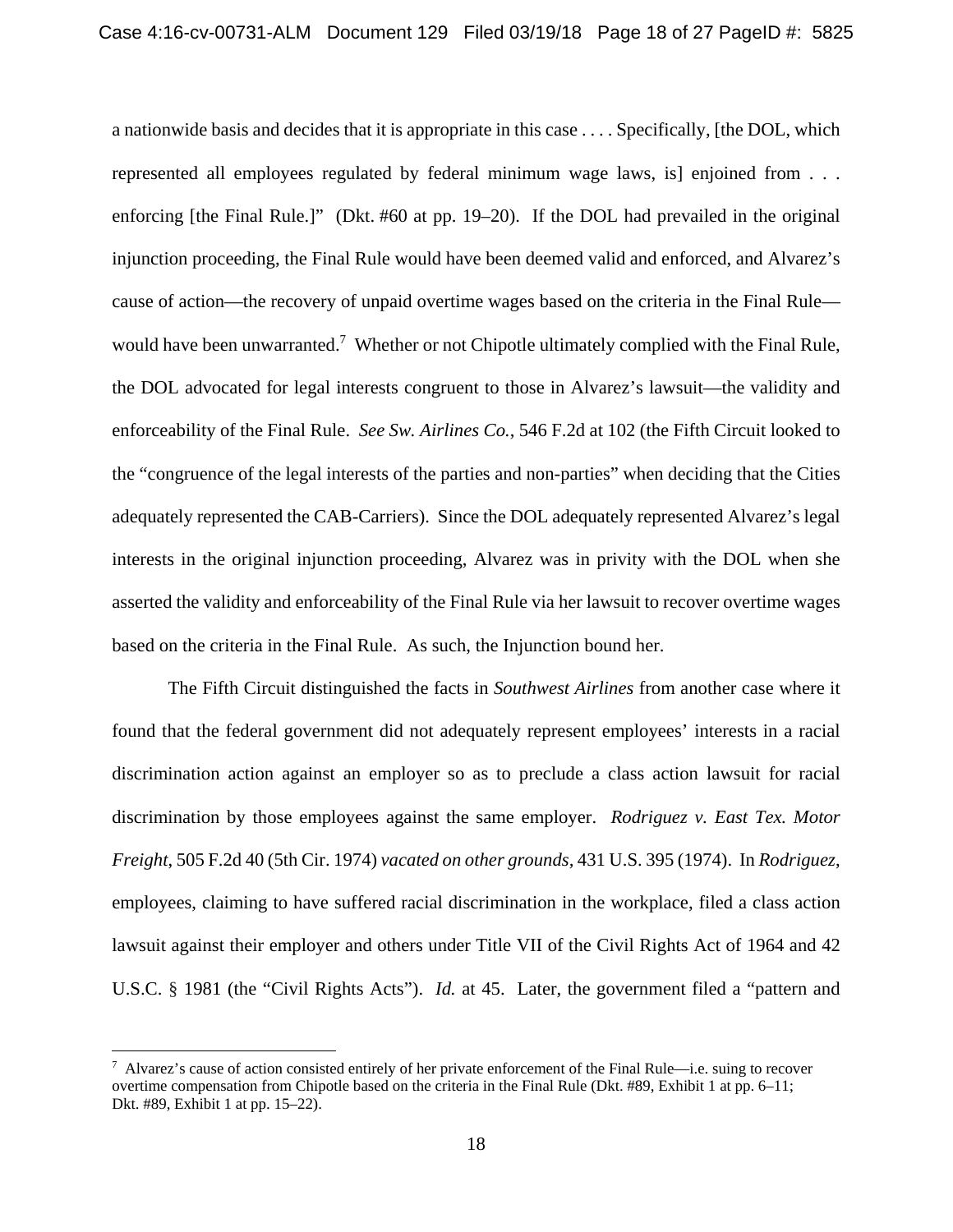a nationwide basis and decides that it is appropriate in this case . . . . Specifically, [the DOL, which represented all employees regulated by federal minimum wage laws, is] enjoined from . . . enforcing [the Final Rule.]" (Dkt. #60 at pp. 19–20). If the DOL had prevailed in the original injunction proceeding, the Final Rule would have been deemed valid and enforced, and Alvarez's cause of action—the recovery of unpaid overtime wages based on the criteria in the Final Rule would have been unwarranted.<sup>7</sup> Whether or not Chipotle ultimately complied with the Final Rule, the DOL advocated for legal interests congruent to those in Alvarez's lawsuit—the validity and enforceability of the Final Rule. *See Sw. Airlines Co.*, 546 F.2d at 102 (the Fifth Circuit looked to the "congruence of the legal interests of the parties and non-parties" when deciding that the Cities adequately represented the CAB-Carriers). Since the DOL adequately represented Alvarez's legal interests in the original injunction proceeding, Alvarez was in privity with the DOL when she asserted the validity and enforceability of the Final Rule via her lawsuit to recover overtime wages based on the criteria in the Final Rule. As such, the Injunction bound her.

The Fifth Circuit distinguished the facts in *Southwest Airlines* from another case where it found that the federal government did not adequately represent employees' interests in a racial discrimination action against an employer so as to preclude a class action lawsuit for racial discrimination by those employees against the same employer. *Rodriguez v. East Tex. Motor Freight*, 505 F.2d 40 (5th Cir. 1974) *vacated on other grounds,* 431 U.S. 395 (1974). In *Rodriguez*, employees, claiming to have suffered racial discrimination in the workplace, filed a class action lawsuit against their employer and others under Title VII of the Civil Rights Act of 1964 and 42 U.S.C. § 1981 (the "Civil Rights Acts"). *Id.* at 45. Later, the government filed a "pattern and

<u>.</u>

 $^7$  Alvarez's cause of action consisted entirely of her private enforcement of the Final Rule—i.e. suing to recover overtime compensation from Chipotle based on the criteria in the Final Rule (Dkt. #89, Exhibit 1 at pp. 6–11; Dkt. #89, Exhibit 1 at pp. 15–22).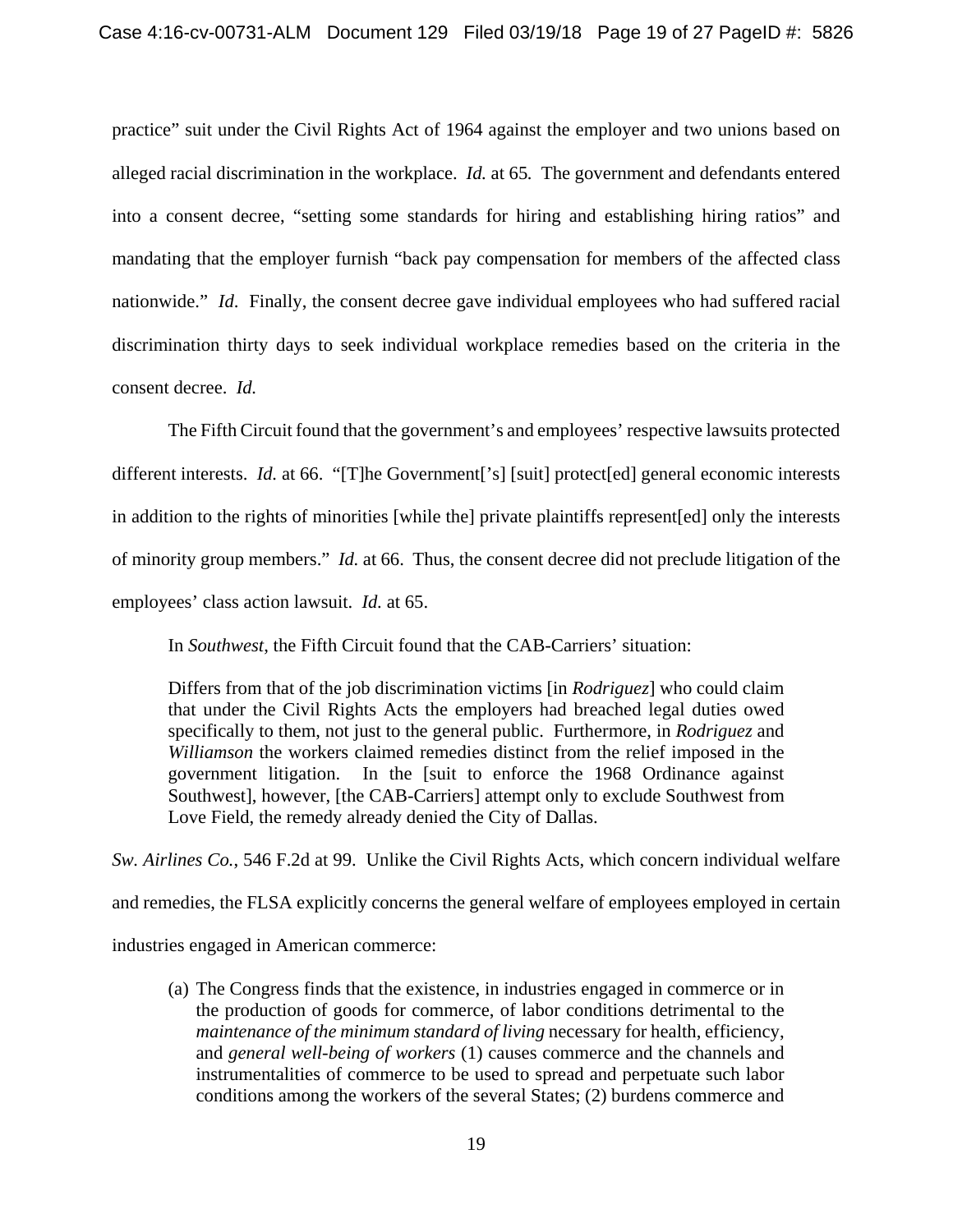practice" suit under the Civil Rights Act of 1964 against the employer and two unions based on alleged racial discrimination in the workplace. *Id.* at 65*.* The government and defendants entered into a consent decree, "setting some standards for hiring and establishing hiring ratios" and mandating that the employer furnish "back pay compensation for members of the affected class nationwide." *Id*.Finally, the consent decree gave individual employees who had suffered racial discrimination thirty days to seek individual workplace remedies based on the criteria in the consent decree. *Id.* 

The Fifth Circuit found that the government's and employees' respective lawsuits protected different interests. *Id.* at 66. "[T]he Government['s] [suit] protect[ed] general economic interests in addition to the rights of minorities [while the] private plaintiffs represent[ed] only the interests of minority group members." *Id.* at 66. Thus, the consent decree did not preclude litigation of the employees' class action lawsuit. *Id.* at 65.

In *Southwest*, the Fifth Circuit found that the CAB-Carriers' situation:

Differs from that of the job discrimination victims [in *Rodriguez*] who could claim that under the Civil Rights Acts the employers had breached legal duties owed specifically to them, not just to the general public. Furthermore, in *Rodriguez* and *Williamson* the workers claimed remedies distinct from the relief imposed in the government litigation. In the [suit to enforce the 1968 Ordinance against Southwest], however, [the CAB-Carriers] attempt only to exclude Southwest from Love Field, the remedy already denied the City of Dallas.

*Sw. Airlines Co.*, 546 F.2d at 99. Unlike the Civil Rights Acts, which concern individual welfare and remedies, the FLSA explicitly concerns the general welfare of employees employed in certain industries engaged in American commerce:

(a) The Congress finds that the existence, in industries engaged in commerce or in the production of goods for commerce, of labor conditions detrimental to the *maintenance of the minimum standard of living* necessary for health, efficiency, and *general well-being of workers* (1) causes commerce and the channels and instrumentalities of commerce to be used to spread and perpetuate such labor conditions among the workers of the several States; (2) burdens commerce and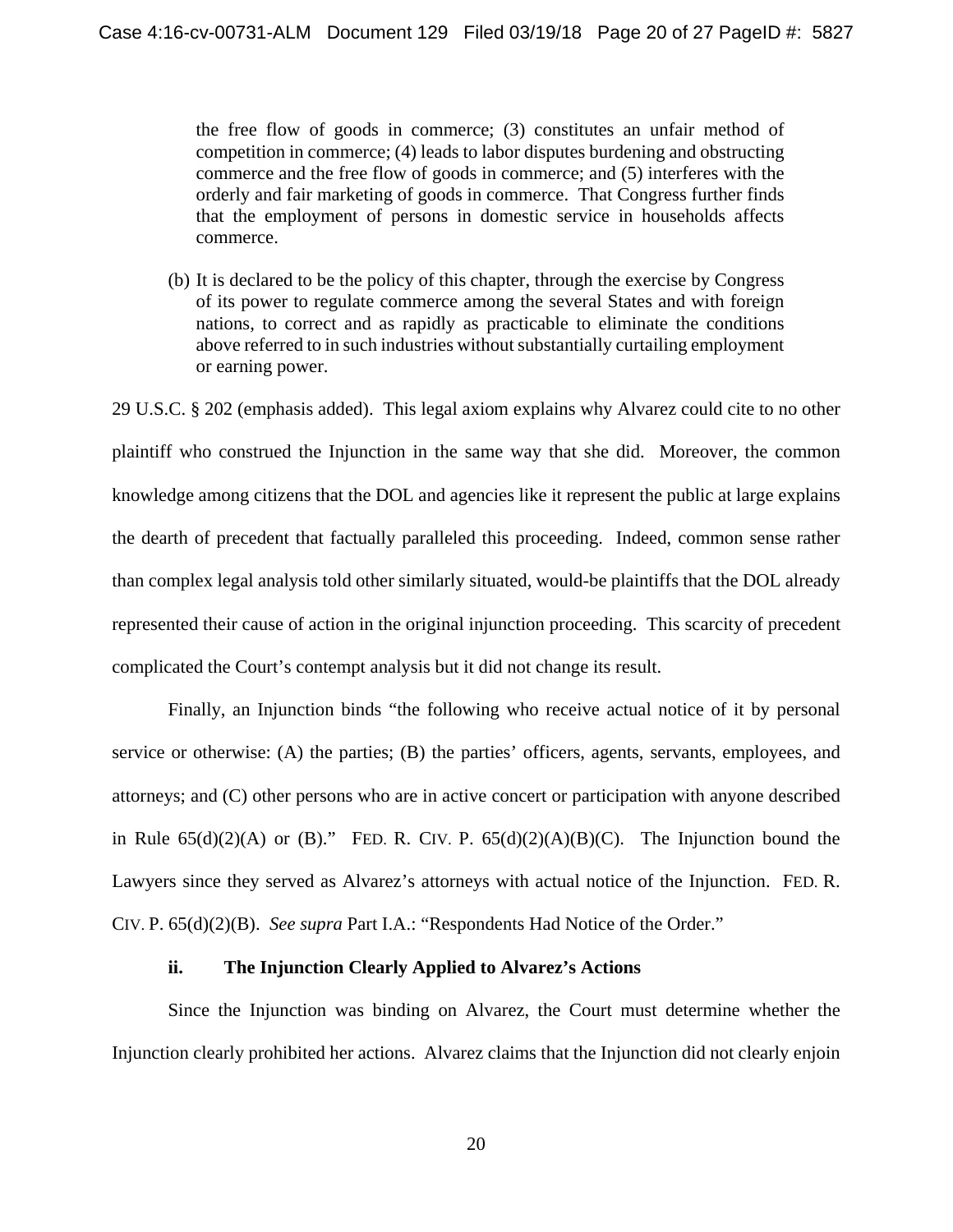the free flow of goods in commerce; (3) constitutes an unfair method of competition in commerce; (4) leads to labor disputes burdening and obstructing commerce and the free flow of goods in commerce; and (5) interferes with the orderly and fair marketing of goods in commerce. That Congress further finds that the employment of persons in domestic service in households affects commerce.

(b) It is declared to be the policy of this chapter, through the exercise by Congress of its power to regulate commerce among the several States and with foreign nations, to correct and as rapidly as practicable to eliminate the conditions above referred to in such industries without substantially curtailing employment or earning power.

29 U.S.C. § 202 (emphasis added). This legal axiom explains why Alvarez could cite to no other plaintiff who construed the Injunction in the same way that she did. Moreover, the common knowledge among citizens that the DOL and agencies like it represent the public at large explains the dearth of precedent that factually paralleled this proceeding. Indeed, common sense rather than complex legal analysis told other similarly situated, would-be plaintiffs that the DOL already represented their cause of action in the original injunction proceeding. This scarcity of precedent complicated the Court's contempt analysis but it did not change its result.

Finally, an Injunction binds "the following who receive actual notice of it by personal service or otherwise: (A) the parties; (B) the parties' officers, agents, servants, employees, and attorneys; and (C) other persons who are in active concert or participation with anyone described in Rule  $65(d)(2)(A)$  or (B)." FED. R. CIV. P.  $65(d)(2)(A)(B)(C)$ . The Injunction bound the Lawyers since they served as Alvarez's attorneys with actual notice of the Injunction.FED. R. CIV. P. 65(d)(2)(B). *See supra* Part I.A.: "Respondents Had Notice of the Order."

### **ii. The Injunction Clearly Applied to Alvarez's Actions**

Since the Injunction was binding on Alvarez, the Court must determine whether the Injunction clearly prohibited her actions. Alvarez claims that the Injunction did not clearly enjoin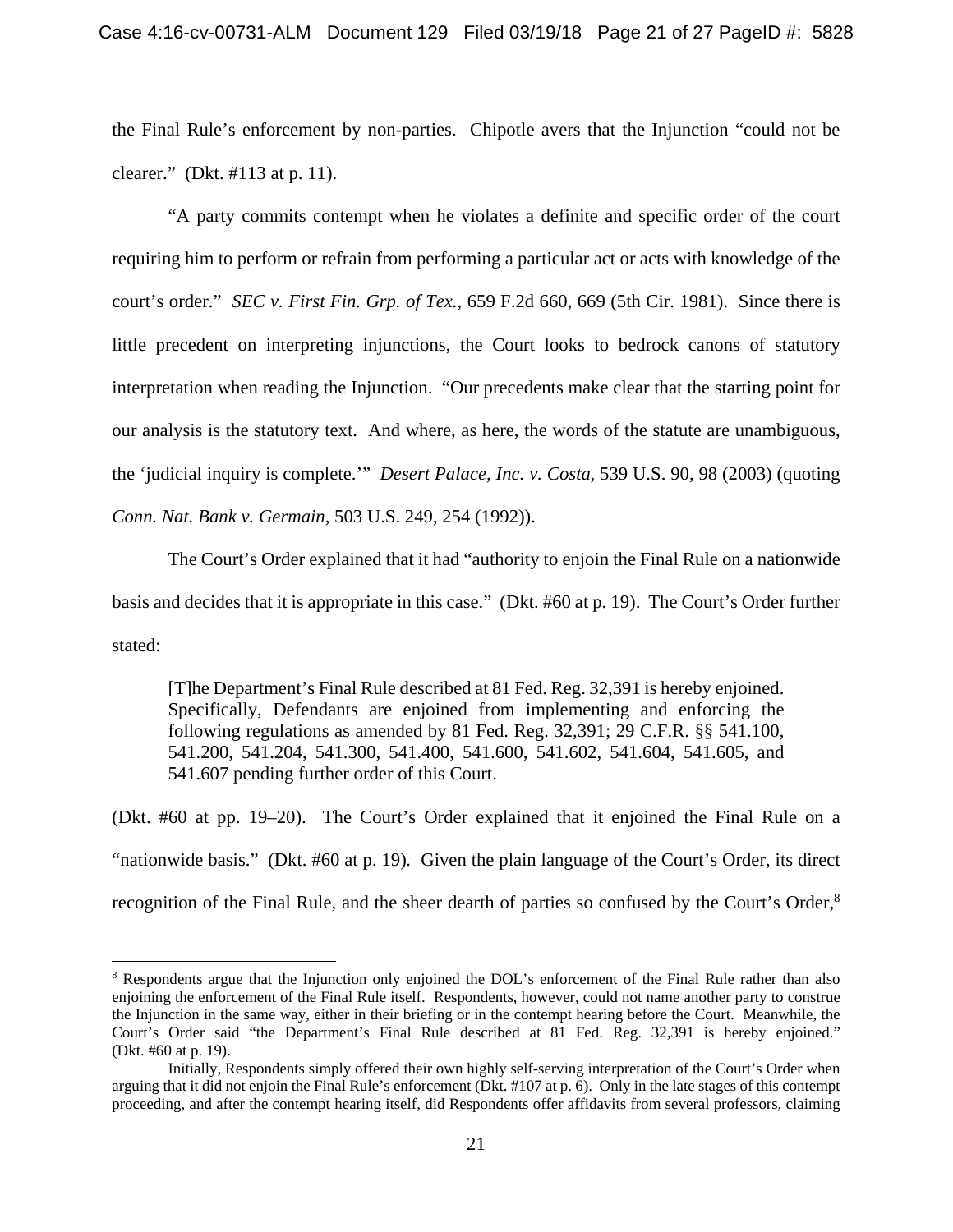the Final Rule's enforcement by non-parties. Chipotle avers that the Injunction "could not be clearer." (Dkt. #113 at p. 11).

"A party commits contempt when he violates a definite and specific order of the court requiring him to perform or refrain from performing a particular act or acts with knowledge of the court's order." *SEC v. First Fin. Grp. of Tex.*, 659 F.2d 660, 669 (5th Cir. 1981). Since there is little precedent on interpreting injunctions, the Court looks to bedrock canons of statutory interpretation when reading the Injunction. "Our precedents make clear that the starting point for our analysis is the statutory text. And where, as here, the words of the statute are unambiguous, the 'judicial inquiry is complete.'" *Desert Palace, Inc. v. Costa*, 539 U.S. 90, 98 (2003) (quoting *Conn. Nat. Bank v. Germain*, 503 U.S. 249, 254 (1992)).

The Court's Order explained that it had "authority to enjoin the Final Rule on a nationwide basis and decides that it is appropriate in this case." (Dkt. #60 at p. 19). The Court's Order further stated:

[T]he Department's Final Rule described at 81 Fed. Reg. 32,391 is hereby enjoined. Specifically, Defendants are enjoined from implementing and enforcing the following regulations as amended by 81 Fed. Reg. 32,391; 29 C.F.R. §§ 541.100, 541.200, 541.204, 541.300, 541.400, 541.600, 541.602, 541.604, 541.605, and 541.607 pending further order of this Court.

(Dkt. #60 at pp. 19–20). The Court's Order explained that it enjoined the Final Rule on a "nationwide basis." (Dkt. #60 at p. 19)*.* Given the plain language of the Court's Order, its direct recognition of the Final Rule, and the sheer dearth of parties so confused by the Court's Order,<sup>8</sup>

1

<sup>&</sup>lt;sup>8</sup> Respondents argue that the Injunction only enjoined the DOL's enforcement of the Final Rule rather than also enjoining the enforcement of the Final Rule itself. Respondents, however, could not name another party to construe the Injunction in the same way, either in their briefing or in the contempt hearing before the Court. Meanwhile, the Court's Order said "the Department's Final Rule described at 81 Fed. Reg. 32,391 is hereby enjoined." (Dkt. #60 at p. 19).

Initially, Respondents simply offered their own highly self-serving interpretation of the Court's Order when arguing that it did not enjoin the Final Rule's enforcement (Dkt. #107 at p. 6). Only in the late stages of this contempt proceeding, and after the contempt hearing itself, did Respondents offer affidavits from several professors, claiming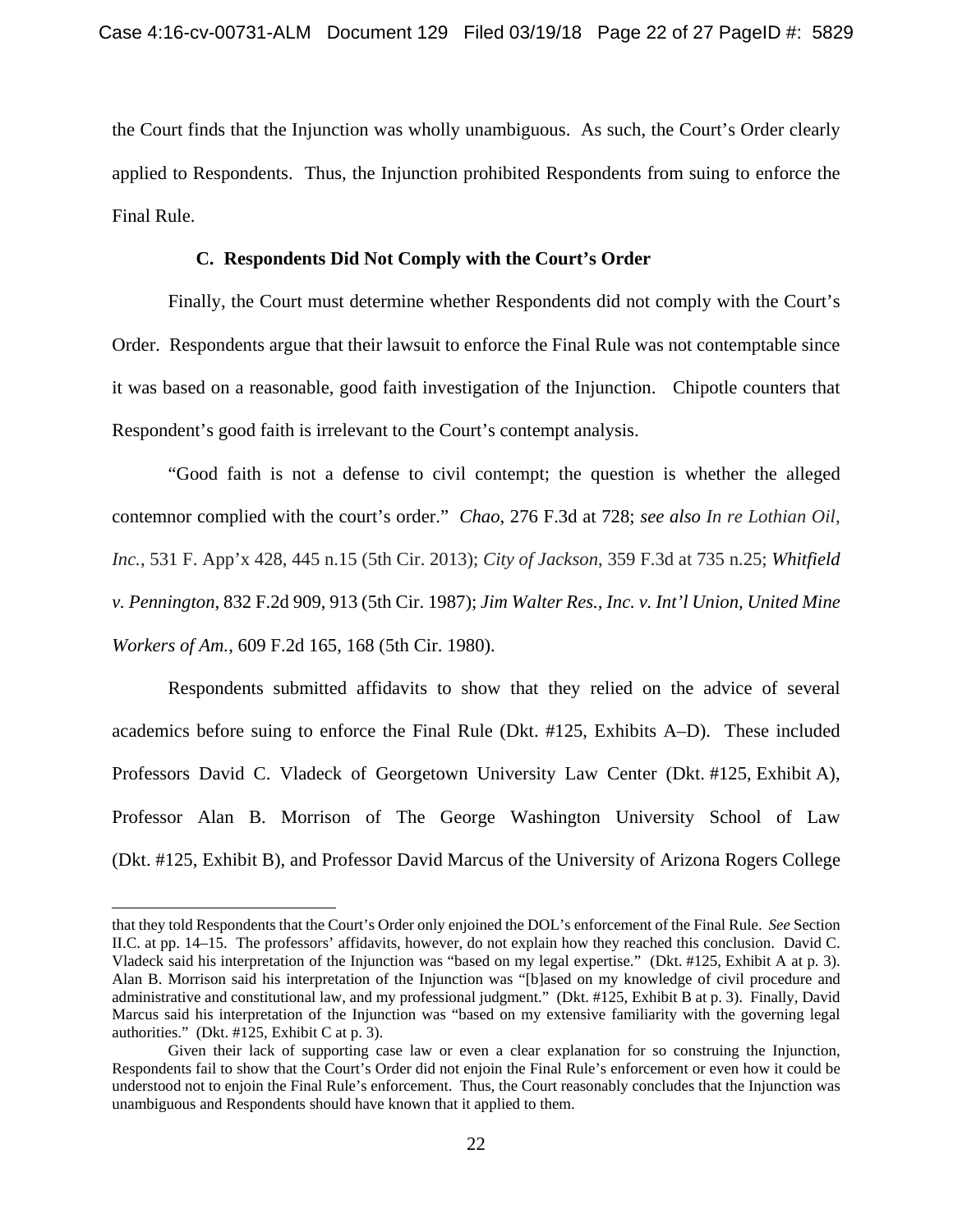the Court finds that the Injunction was wholly unambiguous. As such, the Court's Order clearly applied to Respondents. Thus, the Injunction prohibited Respondents from suing to enforce the Final Rule.

#### **C. Respondents Did Not Comply with the Court's Order**

Finally, the Court must determine whether Respondents did not comply with the Court's Order. Respondents argue that their lawsuit to enforce the Final Rule was not contemptable since it was based on a reasonable, good faith investigation of the Injunction. Chipotle counters that Respondent's good faith is irrelevant to the Court's contempt analysis.

"Good faith is not a defense to civil contempt; the question is whether the alleged contemnor complied with the court's order." *Chao*, 276 F.3d at 728; *see also In re Lothian Oil, Inc.*, 531 F. App'x 428, 445 n.15 (5th Cir. 2013); *City of Jackson*, 359 F.3d at 735 n.25; *Whitfield v. Pennington*, 832 F.2d 909, 913 (5th Cir. 1987); *Jim Walter Res., Inc. v. Int'l Union, United Mine Workers of Am.*, 609 F.2d 165, 168 (5th Cir. 1980).

Respondents submitted affidavits to show that they relied on the advice of several academics before suing to enforce the Final Rule (Dkt. #125, Exhibits A–D). These included Professors David C. Vladeck of Georgetown University Law Center (Dkt. #125, Exhibit A), Professor Alan B. Morrison of The George Washington University School of Law (Dkt. #125, Exhibit B), and Professor David Marcus of the University of Arizona Rogers College

 $\overline{a}$ 

that they told Respondents that the Court's Order only enjoined the DOL's enforcement of the Final Rule. *See* Section II.C. at pp. 14–15. The professors' affidavits, however, do not explain how they reached this conclusion. David C. Vladeck said his interpretation of the Injunction was "based on my legal expertise." (Dkt. #125, Exhibit A at p. 3). Alan B. Morrison said his interpretation of the Injunction was "[b]ased on my knowledge of civil procedure and administrative and constitutional law, and my professional judgment." (Dkt. #125, Exhibit B at p. 3). Finally, David Marcus said his interpretation of the Injunction was "based on my extensive familiarity with the governing legal authorities." (Dkt. #125, Exhibit C at p. 3).

Given their lack of supporting case law or even a clear explanation for so construing the Injunction, Respondents fail to show that the Court's Order did not enjoin the Final Rule's enforcement or even how it could be understood not to enjoin the Final Rule's enforcement. Thus, the Court reasonably concludes that the Injunction was unambiguous and Respondents should have known that it applied to them.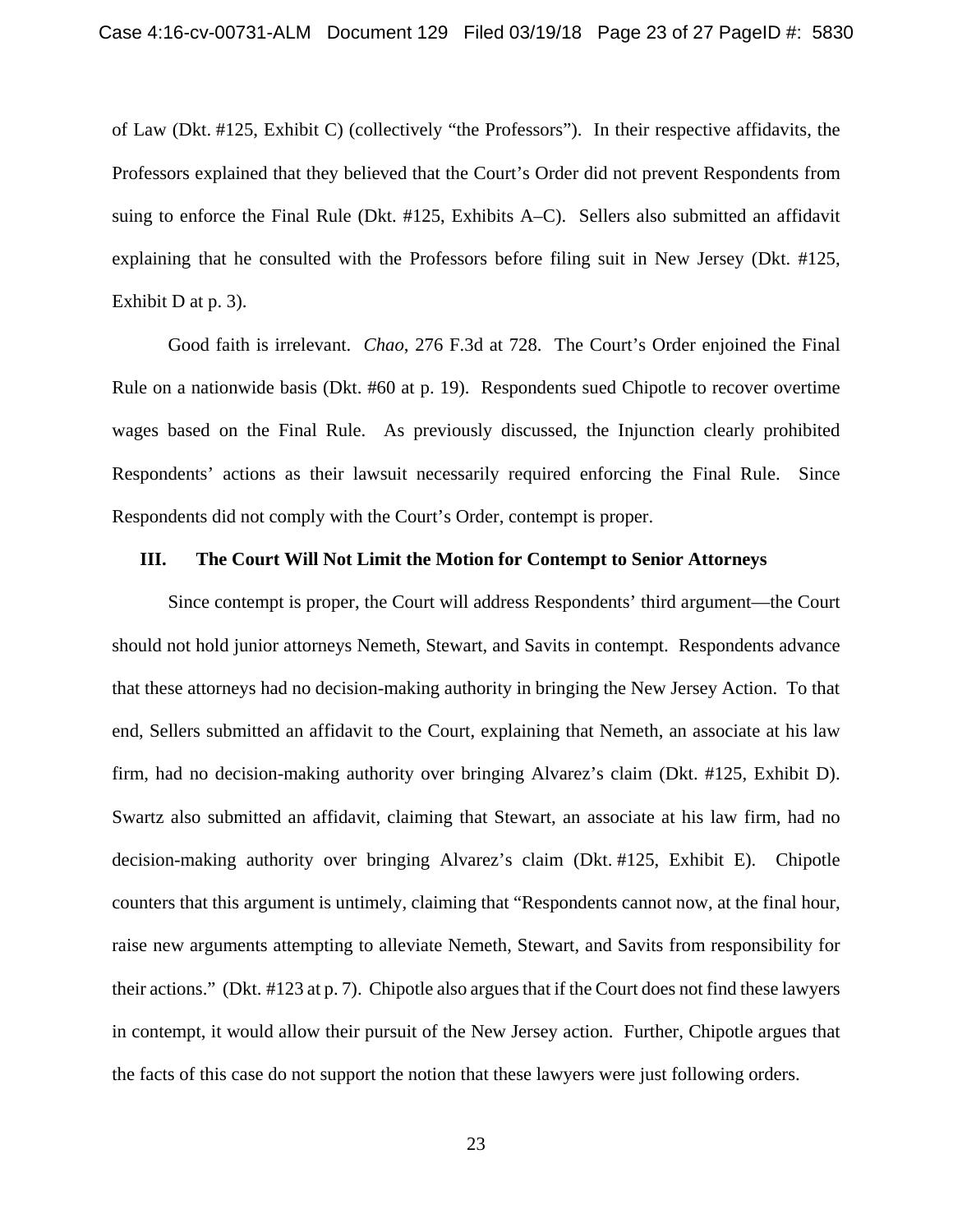of Law (Dkt. #125, Exhibit C) (collectively "the Professors"). In their respective affidavits, the Professors explained that they believed that the Court's Order did not prevent Respondents from suing to enforce the Final Rule (Dkt. #125, Exhibits A–C). Sellers also submitted an affidavit explaining that he consulted with the Professors before filing suit in New Jersey (Dkt. #125, Exhibit D at p. 3).

Good faith is irrelevant. *Chao*, 276 F.3d at 728. The Court's Order enjoined the Final Rule on a nationwide basis (Dkt. #60 at p. 19). Respondents sued Chipotle to recover overtime wages based on the Final Rule. As previously discussed, the Injunction clearly prohibited Respondents' actions as their lawsuit necessarily required enforcing the Final Rule. Since Respondents did not comply with the Court's Order, contempt is proper.

### **III. The Court Will Not Limit the Motion for Contempt to Senior Attorneys**

Since contempt is proper, the Court will address Respondents' third argument—the Court should not hold junior attorneys Nemeth, Stewart, and Savits in contempt. Respondents advance that these attorneys had no decision-making authority in bringing the New Jersey Action. To that end, Sellers submitted an affidavit to the Court, explaining that Nemeth, an associate at his law firm, had no decision-making authority over bringing Alvarez's claim (Dkt. #125, Exhibit D). Swartz also submitted an affidavit, claiming that Stewart, an associate at his law firm, had no decision-making authority over bringing Alvarez's claim (Dkt. #125, Exhibit E). Chipotle counters that this argument is untimely, claiming that "Respondents cannot now, at the final hour, raise new arguments attempting to alleviate Nemeth, Stewart, and Savits from responsibility for their actions." (Dkt. #123 at p. 7). Chipotle also argues that if the Court does not find these lawyers in contempt, it would allow their pursuit of the New Jersey action. Further, Chipotle argues that the facts of this case do not support the notion that these lawyers were just following orders.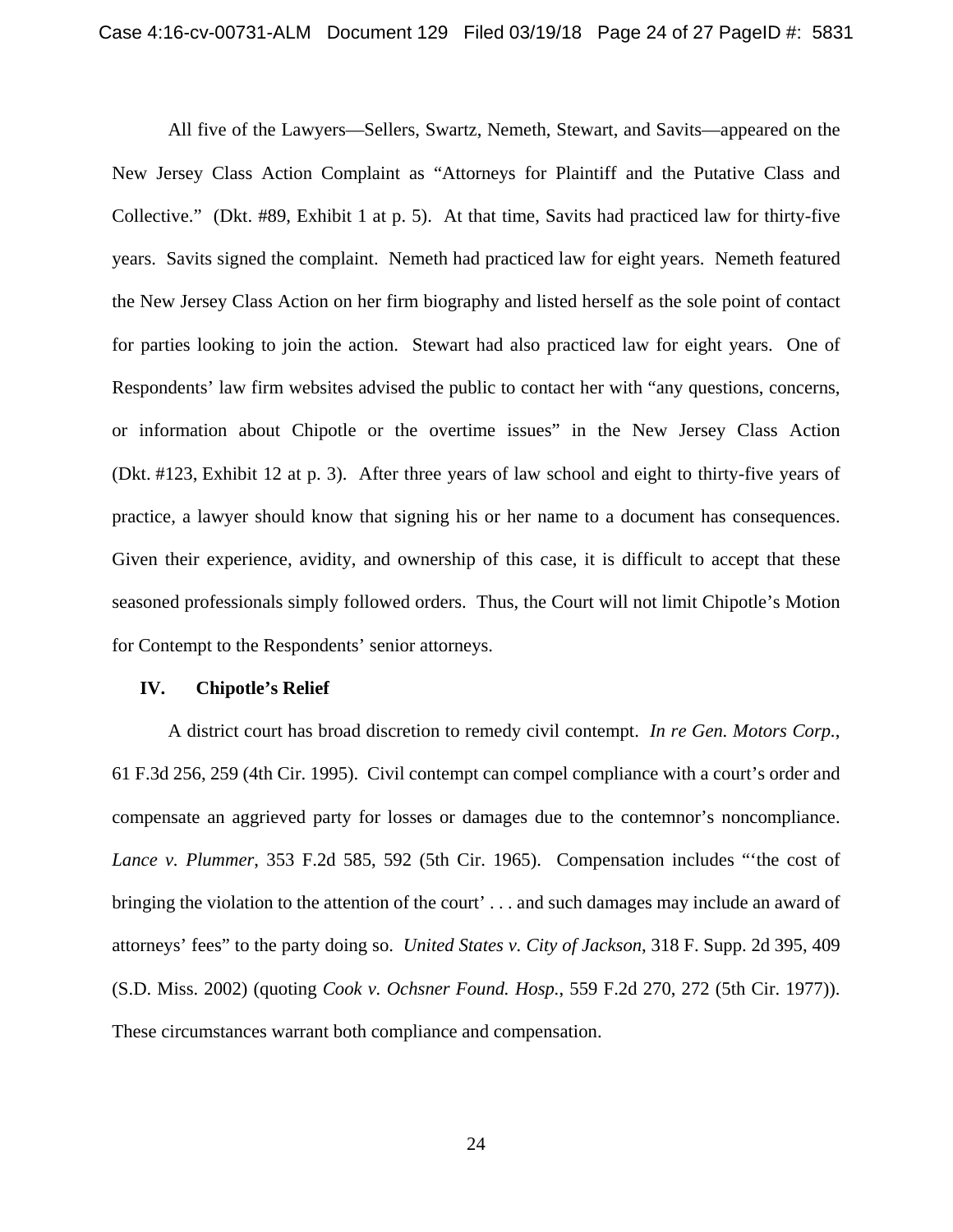All five of the Lawyers—Sellers, Swartz, Nemeth, Stewart, and Savits—appeared on the New Jersey Class Action Complaint as "Attorneys for Plaintiff and the Putative Class and Collective." (Dkt. #89, Exhibit 1 at p. 5). At that time, Savits had practiced law for thirty-five years. Savits signed the complaint. Nemeth had practiced law for eight years. Nemeth featured the New Jersey Class Action on her firm biography and listed herself as the sole point of contact for parties looking to join the action. Stewart had also practiced law for eight years. One of Respondents' law firm websites advised the public to contact her with "any questions, concerns, or information about Chipotle or the overtime issues" in the New Jersey Class Action (Dkt. #123, Exhibit 12 at p. 3). After three years of law school and eight to thirty-five years of practice, a lawyer should know that signing his or her name to a document has consequences. Given their experience, avidity, and ownership of this case, it is difficult to accept that these seasoned professionals simply followed orders. Thus, the Court will not limit Chipotle's Motion for Contempt to the Respondents' senior attorneys.

#### **IV. Chipotle's Relief**

A district court has broad discretion to remedy civil contempt. *In re Gen. Motors Corp.*, 61 F.3d 256, 259 (4th Cir. 1995). Civil contempt can compel compliance with a court's order and compensate an aggrieved party for losses or damages due to the contemnor's noncompliance. *Lance v. Plummer*, 353 F.2d 585, 592 (5th Cir. 1965). Compensation includes "'the cost of bringing the violation to the attention of the court' . . . and such damages may include an award of attorneys' fees" to the party doing so. *United States v. City of Jackson*, 318 F. Supp. 2d 395, 409 (S.D. Miss. 2002) (quoting *Cook v. Ochsner Found. Hosp.*, 559 F.2d 270, 272 (5th Cir. 1977)). These circumstances warrant both compliance and compensation.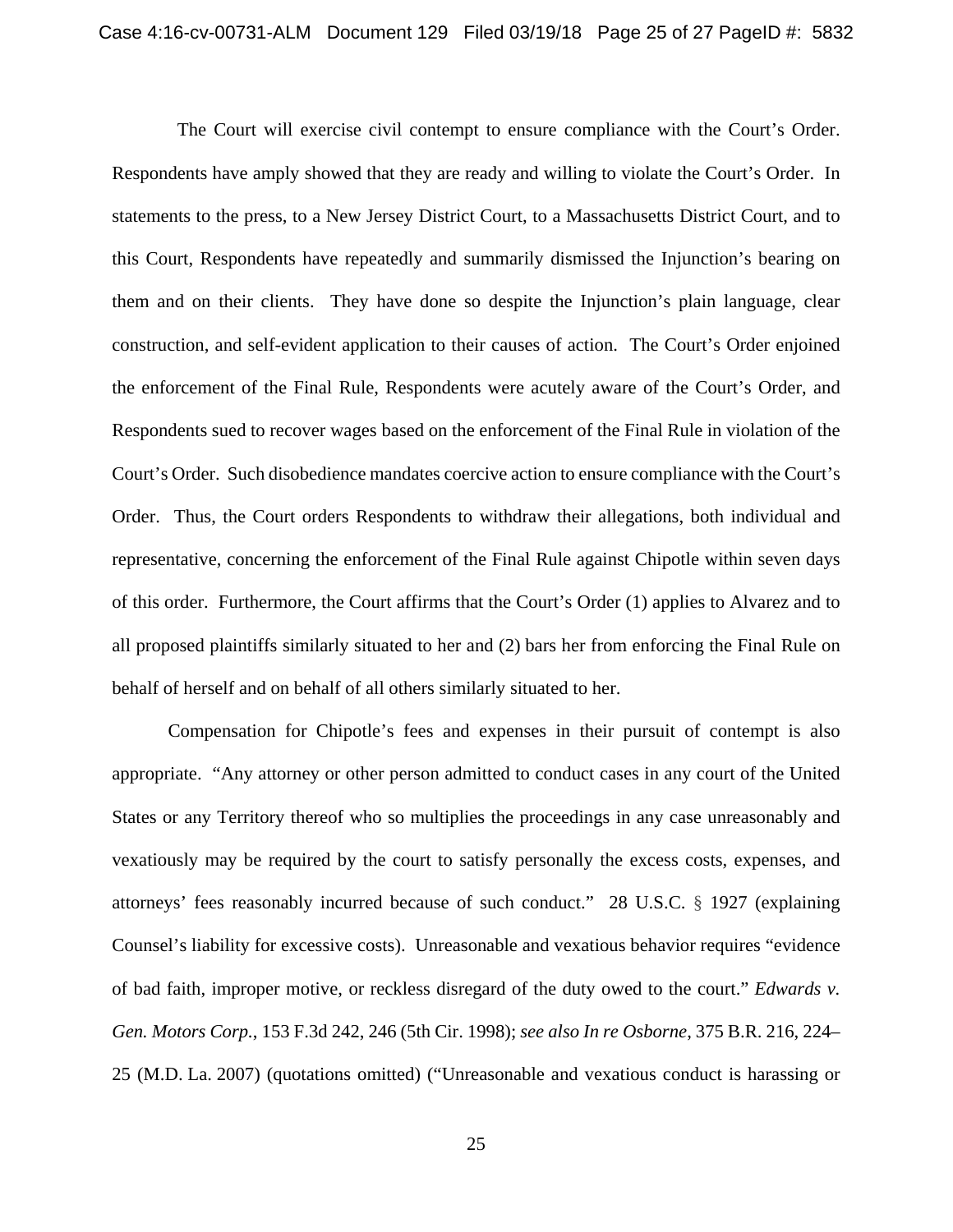The Court will exercise civil contempt to ensure compliance with the Court's Order. Respondents have amply showed that they are ready and willing to violate the Court's Order. In statements to the press, to a New Jersey District Court, to a Massachusetts District Court, and to this Court, Respondents have repeatedly and summarily dismissed the Injunction's bearing on them and on their clients. They have done so despite the Injunction's plain language, clear construction, and self-evident application to their causes of action. The Court's Order enjoined the enforcement of the Final Rule, Respondents were acutely aware of the Court's Order, and Respondents sued to recover wages based on the enforcement of the Final Rule in violation of the Court's Order. Such disobedience mandates coercive action to ensure compliance with the Court's Order. Thus, the Court orders Respondents to withdraw their allegations, both individual and representative, concerning the enforcement of the Final Rule against Chipotle within seven days of this order. Furthermore, the Court affirms that the Court's Order (1) applies to Alvarez and to all proposed plaintiffs similarly situated to her and (2) bars her from enforcing the Final Rule on behalf of herself and on behalf of all others similarly situated to her.

Compensation for Chipotle's fees and expenses in their pursuit of contempt is also appropriate. "Any attorney or other person admitted to conduct cases in any court of the United States or any Territory thereof who so multiplies the proceedings in any case unreasonably and vexatiously may be required by the court to satisfy personally the excess costs, expenses, and attorneys' fees reasonably incurred because of such conduct." 28 U.S.C. § 1927 (explaining Counsel's liability for excessive costs). Unreasonable and vexatious behavior requires "evidence of bad faith, improper motive, or reckless disregard of the duty owed to the court." *Edwards v. Gen. Motors Corp.*, 153 F.3d 242, 246 (5th Cir. 1998); *see also In re Osborne*, 375 B.R. 216, 224– 25 (M.D. La. 2007) (quotations omitted) ("Unreasonable and vexatious conduct is harassing or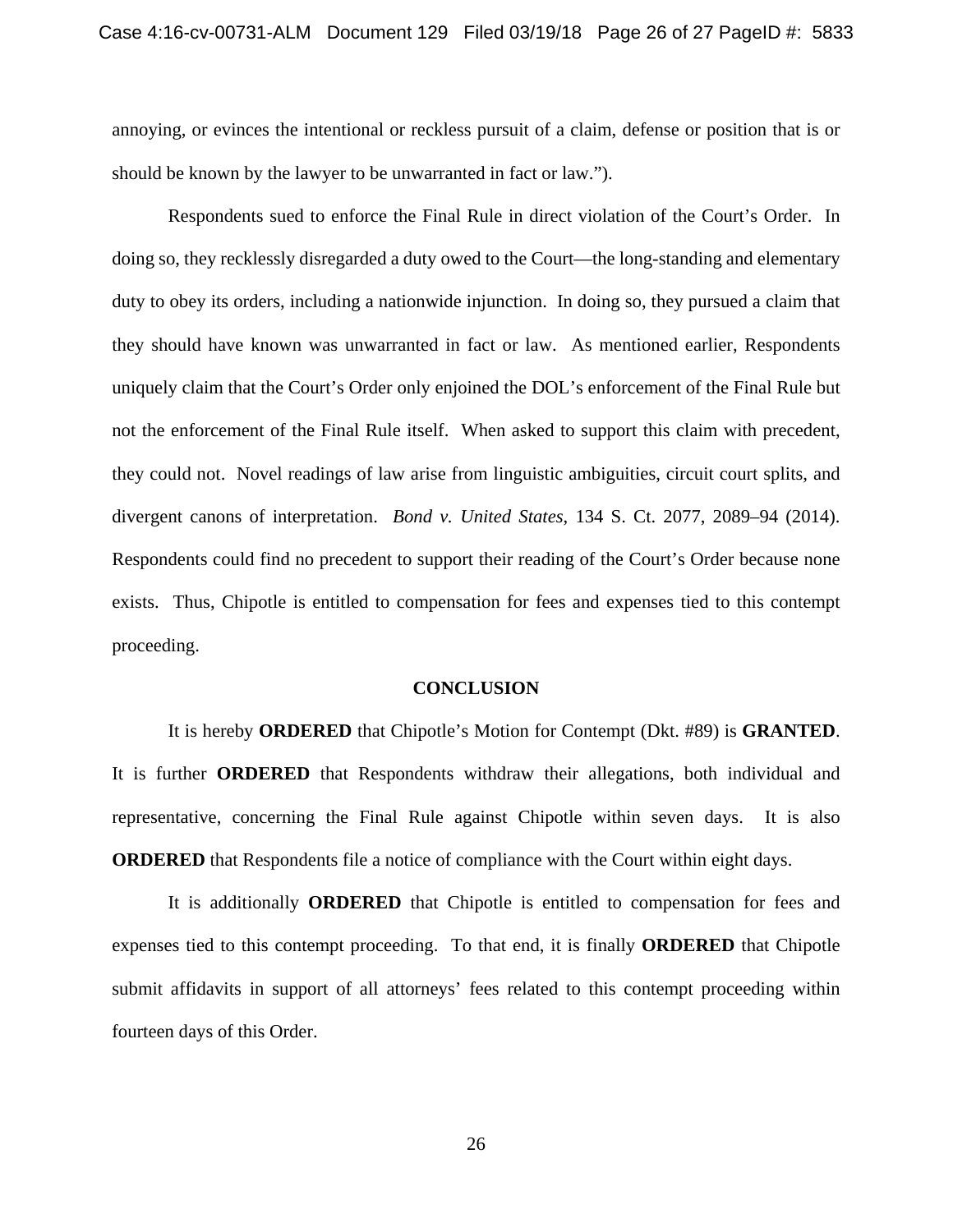annoying, or evinces the intentional or reckless pursuit of a claim, defense or position that is or should be known by the lawyer to be unwarranted in fact or law.").

 Respondents sued to enforce the Final Rule in direct violation of the Court's Order. In doing so, they recklessly disregarded a duty owed to the Court—the long-standing and elementary duty to obey its orders, including a nationwide injunction. In doing so, they pursued a claim that they should have known was unwarranted in fact or law. As mentioned earlier, Respondents uniquely claim that the Court's Order only enjoined the DOL's enforcement of the Final Rule but not the enforcement of the Final Rule itself. When asked to support this claim with precedent, they could not. Novel readings of law arise from linguistic ambiguities, circuit court splits, and divergent canons of interpretation. *Bond v. United States*, 134 S. Ct. 2077, 2089–94 (2014). Respondents could find no precedent to support their reading of the Court's Order because none exists. Thus, Chipotle is entitled to compensation for fees and expenses tied to this contempt proceeding.

#### **CONCLUSION**

It is hereby **ORDERED** that Chipotle's Motion for Contempt (Dkt. #89) is **GRANTED**. It is further **ORDERED** that Respondents withdraw their allegations, both individual and representative, concerning the Final Rule against Chipotle within seven days. It is also **ORDERED** that Respondents file a notice of compliance with the Court within eight days.

It is additionally **ORDERED** that Chipotle is entitled to compensation for fees and expenses tied to this contempt proceeding. To that end, it is finally **ORDERED** that Chipotle submit affidavits in support of all attorneys' fees related to this contempt proceeding within fourteen days of this Order.

26